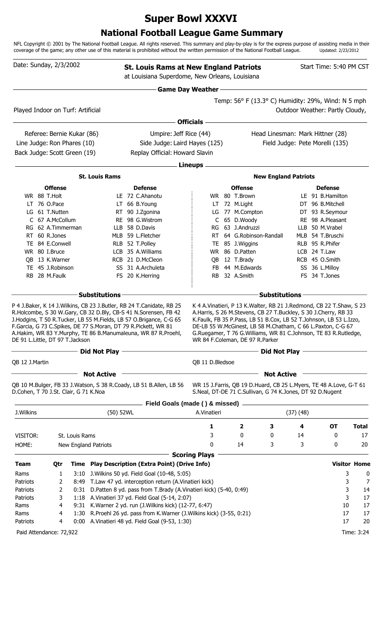# **Super Bowl XXXVI**

## **National Football League Game Summary**

NFL Copyright © 2001 by The National Football League. All rights reserved. This summary and play-by-play is for the express purpose of assisting media in their coverage of the game; any other use of this material is prohibited without the written permission of the National Football League. Updated: 2/23/2012

| Date: Sunday, 2/3/2002                |                                      |                            |                                                                | <b>St. Louis Rams at New England Patriots</b><br>at Louisiana Superdome, New Orleans, Louisiana                                                                                                                                                                                |                           |                                                                                                                                                                                                                                                                                                                                                                                       |                      |          | Start Time: 5:40 PM CST             |           |                     |
|---------------------------------------|--------------------------------------|----------------------------|----------------------------------------------------------------|--------------------------------------------------------------------------------------------------------------------------------------------------------------------------------------------------------------------------------------------------------------------------------|---------------------------|---------------------------------------------------------------------------------------------------------------------------------------------------------------------------------------------------------------------------------------------------------------------------------------------------------------------------------------------------------------------------------------|----------------------|----------|-------------------------------------|-----------|---------------------|
|                                       |                                      |                            |                                                                |                                                                                                                                                                                                                                                                                | <b>Game Day Weather -</b> |                                                                                                                                                                                                                                                                                                                                                                                       |                      |          |                                     |           |                     |
|                                       |                                      |                            |                                                                |                                                                                                                                                                                                                                                                                |                           | Temp: 56° F (13.3° C) Humidity: 29%, Wind: N 5 mph                                                                                                                                                                                                                                                                                                                                    |                      |          |                                     |           |                     |
| Played Indoor on Turf: Artificial     |                                      |                            |                                                                |                                                                                                                                                                                                                                                                                |                           |                                                                                                                                                                                                                                                                                                                                                                                       |                      |          | Outdoor Weather: Partly Cloudy,     |           |                     |
|                                       |                                      |                            |                                                                |                                                                                                                                                                                                                                                                                | <b>Officials</b>          |                                                                                                                                                                                                                                                                                                                                                                                       |                      |          |                                     |           |                     |
|                                       |                                      | Referee: Bernie Kukar (86) |                                                                | Umpire: Jeff Rice (44)                                                                                                                                                                                                                                                         |                           | Head Linesman: Mark Hittner (28)                                                                                                                                                                                                                                                                                                                                                      |                      |          |                                     |           |                     |
| Line Judge: Ron Phares (10)           |                                      |                            |                                                                | Side Judge: Laird Hayes (125)                                                                                                                                                                                                                                                  |                           |                                                                                                                                                                                                                                                                                                                                                                                       |                      |          | Field Judge: Pete Morelli (135)     |           |                     |
| Back Judge: Scott Green (19)          |                                      |                            |                                                                | Replay Official: Howard Slavin                                                                                                                                                                                                                                                 |                           |                                                                                                                                                                                                                                                                                                                                                                                       |                      |          |                                     |           |                     |
|                                       |                                      |                            |                                                                |                                                                                                                                                                                                                                                                                |                           |                                                                                                                                                                                                                                                                                                                                                                                       |                      |          |                                     |           |                     |
|                                       |                                      |                            |                                                                |                                                                                                                                                                                                                                                                                | <b>Lineups</b>            |                                                                                                                                                                                                                                                                                                                                                                                       |                      |          |                                     |           |                     |
|                                       |                                      |                            | <b>St. Louis Rams</b>                                          |                                                                                                                                                                                                                                                                                |                           | <b>New England Patriots</b>                                                                                                                                                                                                                                                                                                                                                           |                      |          |                                     |           |                     |
|                                       | <b>Offense</b>                       |                            |                                                                | <b>Defense</b>                                                                                                                                                                                                                                                                 |                           | <b>Offense</b>                                                                                                                                                                                                                                                                                                                                                                        |                      |          | <b>Defense</b>                      |           |                     |
|                                       | WR 88 T.Holt                         |                            |                                                                | LE 72 C.Ahanotu                                                                                                                                                                                                                                                                |                           | WR 80 T.Brown                                                                                                                                                                                                                                                                                                                                                                         |                      |          | LE 91 B.Hamilton                    |           |                     |
|                                       | LT 76 O.Pace                         |                            |                                                                | LT 66 B.Young                                                                                                                                                                                                                                                                  |                           | LT 72 M.Light                                                                                                                                                                                                                                                                                                                                                                         |                      |          | DT 96 B.Mitchell                    |           |                     |
|                                       | LG 61 T.Nutten                       |                            |                                                                | RT 90 J.Zgonina<br>RE 98 G.Wistrom                                                                                                                                                                                                                                             |                           | LG 77 M.Compton<br>C 65 D.Woody                                                                                                                                                                                                                                                                                                                                                       |                      |          | DT 93 R.Seymour<br>RE 98 A.Pleasant |           |                     |
|                                       | C 67 A.McCollum<br>RG 62 A.Timmerman |                            |                                                                | LLB 58 D.Davis                                                                                                                                                                                                                                                                 |                           | RG 63 J.Andruzzi                                                                                                                                                                                                                                                                                                                                                                      |                      |          | LLB 50 M.Vrabel                     |           |                     |
|                                       | RT 60 R.Jones                        |                            |                                                                | MLB 59 L.Fletcher                                                                                                                                                                                                                                                              | RT.                       | 64 G.Robinson-Randall                                                                                                                                                                                                                                                                                                                                                                 |                      |          | MLB 54 T.Bruschi                    |           |                     |
|                                       | TE 84 E.Conwell                      |                            |                                                                | RLB 52 T.Polley                                                                                                                                                                                                                                                                | TE.                       | 85 J.Wiggins                                                                                                                                                                                                                                                                                                                                                                          |                      |          | RLB 95 R.Phifer                     |           |                     |
|                                       | WR 80 I.Bruce                        |                            |                                                                | LCB 35 A.Williams                                                                                                                                                                                                                                                              | WR                        | 86 D.Patten                                                                                                                                                                                                                                                                                                                                                                           |                      |          | LCB 24 T.Law                        |           |                     |
|                                       | QB 13 K.Warner                       |                            |                                                                | RCB 21 D.McCleon                                                                                                                                                                                                                                                               | QB                        | 12 T.Brady                                                                                                                                                                                                                                                                                                                                                                            |                      |          | RCB 45 O.Smith                      |           |                     |
|                                       | TE 45 J.Robinson                     |                            |                                                                | SS 31 A.Archuleta                                                                                                                                                                                                                                                              | <b>FB</b>                 | 44 M.Edwards                                                                                                                                                                                                                                                                                                                                                                          |                      |          | SS 36 L.Milloy                      |           |                     |
|                                       | RB 28 M.Faulk                        |                            |                                                                | FS 20 K.Herring                                                                                                                                                                                                                                                                |                           | RB 32 A.Smith                                                                                                                                                                                                                                                                                                                                                                         |                      |          | FS 34 T.Jones                       |           |                     |
|                                       |                                      |                            |                                                                |                                                                                                                                                                                                                                                                                |                           |                                                                                                                                                                                                                                                                                                                                                                                       |                      |          |                                     |           |                     |
|                                       |                                      |                            | <b>Substitutions</b>                                           |                                                                                                                                                                                                                                                                                |                           |                                                                                                                                                                                                                                                                                                                                                                                       | <b>Substitutions</b> |          |                                     |           |                     |
| DE 91 L.Little, DT 97 T.Jackson       |                                      |                            | F.Garcia, G 73 C.Spikes, DE 77 S.Moran, DT 79 R.Pickett, WR 81 | P 4 J.Baker, K 14 J.Wilkins, CB 23 J.Butler, RB 24 T.Canidate, RB 25<br>R.Holcombe, S 30 W.Gary, CB 32 D.Bly, CB-S 41 N.Sorensen, FB 42<br>J.Hodgins, T 50 R.Tucker, LB 55 M.Fields, LB 57 O.Brigance, C-G 65<br>A.Hakim, WR 83 Y.Murphy, TE 86 B.Manumaleuna, WR 87 R.Proehl, |                           | K 4 A. Vinatieri, P 13 K. Walter, RB 21 J. Redmond, CB 22 T. Shaw, S 23<br>A.Harris, S 26 M.Stevens, CB 27 T.Buckley, S 30 J.Cherry, RB 33<br>K.Faulk, FB 35 P.Pass, LB 51 B.Cox, LB 52 T.Johnson, LB 53 L.Izzo,<br>DE-LB 55 W.McGinest, LB 58 M.Chatham, C 66 L.Paxton, C-G 67<br>G.Ruegamer, T 76 G.Williams, WR 81 C.Johnson, TE 83 R.Rutledge,<br>WR 84 F.Coleman, DE 97 R.Parker |                      |          |                                     |           |                     |
|                                       |                                      |                            | Did Not Play                                                   |                                                                                                                                                                                                                                                                                |                           |                                                                                                                                                                                                                                                                                                                                                                                       | Did Not Play         |          |                                     |           |                     |
| QB 12 J.Martin                        |                                      |                            |                                                                |                                                                                                                                                                                                                                                                                | QB 11 D.Bledsoe           |                                                                                                                                                                                                                                                                                                                                                                                       |                      |          |                                     |           |                     |
|                                       |                                      |                            | <b>Not Active</b>                                              |                                                                                                                                                                                                                                                                                |                           |                                                                                                                                                                                                                                                                                                                                                                                       | <b>Not Active</b>    |          |                                     |           |                     |
| D.Cohen, T 70 J.St. Clair, G 71 K.Noa |                                      |                            |                                                                | QB 10 M.Bulger, FB 33 J.Watson, S 38 R.Coady, LB 51 B.Allen, LB 56                                                                                                                                                                                                             |                           | WR 15 J.Farris, QB 19 D.Huard, CB 25 L.Myers, TE 48 A.Love, G-T 61<br>S.Neal, DT-DE 71 C.Sullivan, G 74 K.Jones, DT 92 D.Nugent                                                                                                                                                                                                                                                       |                      |          |                                     |           |                     |
|                                       |                                      |                            |                                                                | Field Goals (made () & missed)                                                                                                                                                                                                                                                 |                           |                                                                                                                                                                                                                                                                                                                                                                                       |                      |          |                                     |           |                     |
| J.Wilkins                             |                                      |                            | (50) 52WL                                                      |                                                                                                                                                                                                                                                                                | A.Vinatieri               |                                                                                                                                                                                                                                                                                                                                                                                       |                      | (37)(48) |                                     |           |                     |
|                                       |                                      |                            |                                                                |                                                                                                                                                                                                                                                                                | 1                         | 2<br>3                                                                                                                                                                                                                                                                                                                                                                                |                      | 4        |                                     | <b>OT</b> | <b>Total</b>        |
| VISITOR:                              |                                      | St. Louis Rams             |                                                                |                                                                                                                                                                                                                                                                                | 3                         | 0<br>0                                                                                                                                                                                                                                                                                                                                                                                |                      | 14       |                                     | 0         | 17                  |
| HOME:                                 |                                      |                            | New England Patriots                                           |                                                                                                                                                                                                                                                                                | 0                         | 14<br>3                                                                                                                                                                                                                                                                                                                                                                               |                      | 3        |                                     | 0         | 20                  |
|                                       |                                      |                            |                                                                |                                                                                                                                                                                                                                                                                | <b>Scoring Plays</b>      |                                                                                                                                                                                                                                                                                                                                                                                       |                      |          |                                     |           |                     |
| <b>Team</b>                           | Qtr                                  |                            |                                                                | Time Play Description (Extra Point) (Drive Info)                                                                                                                                                                                                                               |                           |                                                                                                                                                                                                                                                                                                                                                                                       |                      |          |                                     |           | <b>Visitor Home</b> |
| Rams                                  | 1                                    | 3:10                       |                                                                | J. Wilkins 50 yd. Field Goal (10-48, 5:05)                                                                                                                                                                                                                                     |                           |                                                                                                                                                                                                                                                                                                                                                                                       |                      |          |                                     | 3         | 0                   |
| Patriots                              | 2                                    | 8:49                       |                                                                | T.Law 47 yd. interception return (A.Vinatieri kick)                                                                                                                                                                                                                            |                           |                                                                                                                                                                                                                                                                                                                                                                                       |                      |          |                                     | 3         | 7                   |
| Patriots                              | 2                                    | 0:31                       |                                                                | D.Patten 8 yd. pass from T.Brady (A.Vinatieri kick) (5-40, 0:49)                                                                                                                                                                                                               |                           |                                                                                                                                                                                                                                                                                                                                                                                       |                      |          |                                     | 3         | 14                  |
| Patriots                              | 3                                    | 1:18                       |                                                                | A. Vinatieri 37 yd. Field Goal (5-14, 2:07)                                                                                                                                                                                                                                    |                           |                                                                                                                                                                                                                                                                                                                                                                                       |                      |          |                                     | 3         | 17                  |
| Rams                                  | 4                                    | 9:31                       |                                                                | K. Warner 2 yd. run (J. Wilkins kick) (12-77, 6:47)                                                                                                                                                                                                                            |                           |                                                                                                                                                                                                                                                                                                                                                                                       |                      |          |                                     | 10        | 17                  |
| Rams                                  | 4                                    | 1:30                       |                                                                | R.Proehl 26 yd. pass from K.Warner (J.Wilkins kick) (3-55, 0:21)                                                                                                                                                                                                               |                           |                                                                                                                                                                                                                                                                                                                                                                                       |                      |          |                                     | 17        | 17                  |
| Patriots                              | 4                                    |                            |                                                                | 0:00 A.Vinatieri 48 yd. Field Goal (9-53, 1:30)                                                                                                                                                                                                                                |                           |                                                                                                                                                                                                                                                                                                                                                                                       |                      |          |                                     | 17        | 20                  |
| Paid Attendance: 72,922               |                                      |                            |                                                                |                                                                                                                                                                                                                                                                                |                           |                                                                                                                                                                                                                                                                                                                                                                                       |                      |          |                                     |           | Time: 3:24          |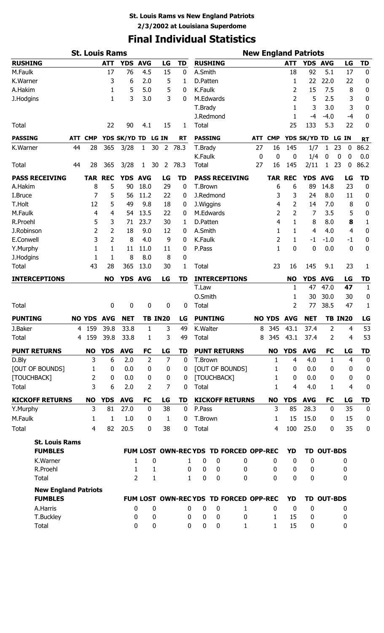# **Final Individual Statistics**

| <b>St. Louis Rams</b><br><b>New England Patriots</b> |            |                |                   |                    |                       |                          |                             |                  |                  |                                       |            |                   |                  |                    |                          |                   |                   |
|------------------------------------------------------|------------|----------------|-------------------|--------------------|-----------------------|--------------------------|-----------------------------|------------------|------------------|---------------------------------------|------------|-------------------|------------------|--------------------|--------------------------|-------------------|-------------------|
| <b>RUSHING</b>                                       |            |                | <b>ATT</b>        | <b>YDS</b>         | <b>AVG</b>            | LG                       | TD                          |                  | <b>RUSHING</b>   |                                       |            |                   | <b>ATT</b>       | YDS AVG            |                          | LG                | <b>TD</b>         |
| M.Faulk                                              |            |                | 17                | 76                 | 4.5                   | 15                       | 0                           | A.Smith          |                  |                                       |            |                   | 18               | 92                 | 5.1                      | 17                | $\pmb{0}$         |
| K.Warner                                             |            |                | 3                 | 6                  | 2.0                   | 5                        | 1                           | D.Patten         |                  |                                       |            |                   | 1                | 22                 | 22.0                     | 22                | 0                 |
| A.Hakim                                              |            |                | 1                 | 5                  | 5.0                   | 5                        | 0                           | K.Faulk          |                  |                                       |            |                   | 2                | 15                 | 7.5                      | 8                 | $\pmb{0}$         |
| J.Hodgins                                            |            |                | 1                 | 3                  | 3.0                   | 3                        | 0                           |                  | M.Edwards        |                                       |            |                   | 2                | 5                  | 2.5                      | 3                 | 0                 |
|                                                      |            |                |                   |                    |                       |                          |                             | T.Brady          |                  |                                       |            |                   | 1                | 3                  | 3.0                      | 3                 | $\pmb{0}$         |
|                                                      |            |                |                   |                    |                       |                          |                             |                  | J.Redmond        |                                       |            |                   | 1                | $-4$               | $-4.0$                   | $-4$              | $\boldsymbol{0}$  |
| <b>Total</b>                                         |            |                | 22                | 90                 | 4.1                   | 15                       | 1                           | <b>Total</b>     |                  |                                       |            |                   | 25               | 133                | 5.3                      | 22                | $\mathbf 0$       |
| <b>PASSING</b>                                       | <b>ATT</b> | <b>CMP</b>     |                   | YDS SK/YD TD       |                       | <b>LG IN</b>             | <b>RT</b>                   | <b>PASSING</b>   |                  |                                       | <b>ATT</b> | <b>CMP</b>        |                  | YDS SK/YD TD       |                          | LG IN             | <b>RT</b>         |
| K.Warner                                             | 44         | 28             | 365               | 3/28               | 1                     | $30\,$<br>$\overline{2}$ | 78.3                        | T.Brady          |                  |                                       | 27         | 16                | 145              | 1/7                | 1                        | 23<br>$\mathbf 0$ | 86.2              |
|                                                      |            |                |                   |                    |                       |                          |                             | K.Faulk          |                  |                                       | 0          | 0                 | 0                | 1/4                | 0                        | 0<br>0            | 0.0               |
| <b>Total</b>                                         | 44         | 28             | 365               | 3/28               | $\mathbf{1}$          | 30<br>$\overline{2}$     | 78.3                        | <b>Total</b>     |                  |                                       | 27         | 16                | 145              | 2/11               | 1                        | 23<br>0           | 86.2              |
| <b>PASS RECEIVING</b>                                |            | <b>TAR</b>     | <b>REC</b>        | <b>YDS</b>         | <b>AVG</b>            | LG                       | TD                          |                  |                  | <b>PASS RECEIVING</b>                 |            | <b>TAR</b>        | <b>REC</b>       | <b>YDS</b>         | <b>AVG</b>               | LG                | TD                |
| A.Hakim                                              |            | 8              | 5                 | 90                 | 18.0                  | 29                       | $\boldsymbol{0}$            | T.Brown          |                  |                                       |            | 6                 | 6                | 89                 | 14.8                     | 23                | $\pmb{0}$         |
| I.Bruce                                              |            | 7              | 5                 | 56                 | 11.2                  | 22                       | 0                           |                  | J.Redmond        |                                       |            | 3                 | 3                | 24                 | 8.0                      | 11                | 0                 |
| T.Holt                                               |            | 12             | 5                 | 49                 | 9.8                   | 18                       | 0                           | J.Wiggins        |                  |                                       |            | 4                 | 2                | 14                 | 7.0                      | 8                 | $\pmb{0}$         |
| M.Faulk                                              |            | 4              | 4                 | 54                 | 13.5                  | 22                       | 0                           |                  | M.Edwards        |                                       |            | 2                 | 2                | 7                  | 3.5                      | 5                 | 0                 |
| R.Proehl                                             |            | 5              | 3                 | 71                 | 23.7                  | 30                       | 1                           | D.Patten         |                  |                                       |            | 4                 | 1                | 8                  | 8.0                      | 8                 | $\mathbf{1}$      |
| J.Robinson                                           |            | 2              | 2                 | 18                 | 9.0                   | 12                       | 0                           | A.Smith          |                  |                                       |            | 1                 | 1                | 4                  | 4.0                      | 4                 | $\bf{0}$          |
| E.Conwell                                            |            | 3              | 2                 | 8                  | 4.0                   | 9                        | 0                           | K.Faulk          |                  |                                       |            | 2                 | 1                | $-1$               | $-1.0$                   | $-1$              | $\pmb{0}$         |
| Y.Murphy                                             |            | 1              | 1                 | 11                 | 11.0                  | 11                       | 0                           | P.Pass           |                  |                                       |            | 1                 | 0                | 0                  | 0.0                      | $\mathbf 0$       | $\bf{0}$          |
| J.Hodgins                                            |            | 1<br>43        | 1                 | 8                  | 8.0                   | 8                        | 0                           |                  |                  |                                       |            | 23                |                  |                    |                          |                   |                   |
| Total                                                |            |                | 28                | 365                | 13.0                  | 30                       | 1                           | <b>Total</b>     |                  |                                       |            |                   | 16               | 145                | 9.1                      | 23                | 1                 |
| <b>INTERCEPTIONS</b>                                 |            |                | <b>NO</b>         | YDS AVG            |                       | LG                       | TD                          |                  |                  | <b>INTERCEPTIONS</b>                  |            |                   | <b>NO</b>        | <b>YDS</b>         | <b>AVG</b>               | LG                | TD                |
|                                                      |            |                |                   |                    |                       |                          |                             | T.Law            |                  |                                       |            |                   | 1                | 47                 | 47.0                     | 47                | $\mathbf{1}$      |
|                                                      |            |                |                   |                    |                       |                          |                             | O.Smith          |                  |                                       |            |                   | 1                | 30                 | 30.0                     | 30                | $\boldsymbol{0}$  |
| <b>Total</b>                                         |            |                | $\pmb{0}$         | $\bf{0}$           | 0                     | 0                        | 0                           | <b>Total</b>     |                  |                                       |            |                   | 2                | 77                 | 38.5                     | 47                | 1                 |
| <b>PUNTING</b>                                       |            |                | <b>NO YDS AVG</b> | <b>NET</b>         |                       | <b>TB IN20</b>           | LG                          |                  | <b>PUNTING</b>   |                                       |            | <b>NO YDS</b>     | <b>AVG</b>       | <b>NET</b>         |                          | <b>TB IN20</b>    | LG                |
| J.Baker                                              | 4          | 159            | 39.8              | 33.8               | 1                     | 3                        | 49                          | K.Walter         |                  |                                       | 8          | 345               | 43.1             | 37.4               | 2                        | 4                 | 53                |
| <b>Total</b>                                         |            | 4 159          | 39.8              | 33.8               | 1                     | 3                        | 49                          | Total            |                  |                                       | 8          | 345               | 43.1             | 37.4               | 2                        | 4                 | 53                |
| <b>PUNT RETURNS</b>                                  |            | <b>NO</b>      | <b>YDS</b>        | <b>AVG</b>         | <b>FC</b>             | LG                       | TD                          |                  |                  | <b>PUNT RETURNS</b>                   |            | <b>NO</b>         | <b>YDS</b>       | <b>AVG</b>         | <b>FC</b>                | LG                | TD                |
| D.Bly                                                |            | 3              | 6                 | 2.0                | $\overline{2}$        | $\overline{7}$           | $\mathbf 0$                 | T.Brown          |                  |                                       |            | 1                 | 4                | 4.0                | $\mathbf{1}$             | $\overline{4}$    | $\boldsymbol{0}$  |
| <b>[OUT OF BOUNDS]</b>                               |            | 1              | $\mathbf 0$       | 0.0                | 0                     | $\boldsymbol{0}$         | 0                           |                  |                  | [OUT OF BOUNDS]                       |            | 1                 | 0                | 0.0                | 0                        | $\mathbf 0$       | $\pmb{0}$         |
| [TOUCHBACK]                                          |            | 2              | $\mathbf 0$       | 0.0                | 0                     | 0                        | 0                           |                  | [TOUCHBACK]      |                                       |            | $\mathbf{1}$      | 0                | 0.0                | 0                        | 0                 | $\pmb{0}$         |
| Total                                                |            | 3              | 6                 | 2.0                | $\overline{2}$        | 7                        | $\mathbf 0$                 | Total            |                  |                                       |            | 1                 | 4                | 4.0                | 1                        | 4                 | $\boldsymbol{0}$  |
| <b>KICKOFF RETURNS</b>                               |            | <b>NO</b><br>3 | <b>YDS</b><br>81  | <b>AVG</b><br>27.0 | <b>FC</b><br>$\bf{0}$ | LG<br>38                 | <b>TD</b><br>$\mathbf 0$    |                  |                  | <b>KICKOFF RETURNS</b>                |            | <b>NO</b><br>3    | <b>YDS</b><br>85 | <b>AVG</b><br>28.3 | <b>FC</b><br>$\mathbf 0$ | LG<br>35          | TD<br>$\mathbf 0$ |
| Y.Murphy                                             |            |                |                   |                    |                       |                          |                             | P.Pass           |                  |                                       |            |                   |                  |                    |                          |                   |                   |
| M.Faulk                                              |            | 1<br>4         | 1<br>82           | 1.0<br>20.5        | 0                     | $\mathbf{1}$<br>38       | $\mathbf{0}$                | T.Brown<br>Total |                  |                                       |            | 1                 | 15<br>100        | 15.0<br>25.0       | $\mathbf{0}$             | 15<br>35          | 0                 |
| Total                                                |            |                |                   |                    | 0                     |                          | 0                           |                  |                  |                                       |            | 4                 |                  |                    | 0                        |                   | $\bf{0}$          |
| <b>St. Louis Rams</b>                                |            |                |                   |                    |                       |                          |                             |                  |                  |                                       |            |                   |                  |                    |                          |                   |                   |
| <b>FUMBLES</b>                                       |            |                |                   |                    |                       |                          |                             |                  |                  | FUM LOST OWN-RECYDS TD FORCED OPP-REC |            |                   | YD               |                    | TD OUT-BDS               |                   |                   |
| K.Warner                                             |            |                |                   | 1                  |                       | 0                        | 1                           | 0                | 0                | 0                                     |            | 0                 | 0                | 0                  |                          | 0                 |                   |
| R.Proehl                                             |            |                |                   | 1                  | $\overline{2}$        | 1<br>1                   | $\mathbf 0$<br>$\mathbf{1}$ | $\bf{0}$<br>0    | $\mathbf 0$<br>0 | 0<br>0                                |            | $\mathbf{0}$<br>0 | 0<br>0           | 0<br>$\mathbf 0$   |                          | 0                 |                   |
| Total                                                |            |                |                   |                    |                       |                          |                             |                  |                  |                                       |            |                   |                  |                    |                          | 0                 |                   |
| <b>New England Patriots</b><br><b>FUMBLES</b>        |            |                |                   |                    |                       |                          |                             |                  |                  | FUM LOST OWN-RECYDS TD FORCED OPP-REC |            |                   | YD               |                    | TD OUT-BDS               |                   |                   |
| A.Harris                                             |            |                |                   | 0                  |                       | $\boldsymbol{0}$         | 0                           | 0                | 0                | $\mathbf{1}$                          |            | $\mathbf 0$       | $\mathbf 0$      | $\boldsymbol{0}$   |                          |                   |                   |
| T.Buckley                                            |            |                |                   | 0                  |                       | 0                        | 0                           | 0                | 0                | 0                                     |            | 1                 | 15               | 0                  |                          | 0<br>0            |                   |
| Total                                                |            |                |                   | 0                  |                       | 0                        | 0                           | 0                | 0                | 1                                     |            | 1                 | 15               | 0                  |                          | 0                 |                   |
|                                                      |            |                |                   |                    |                       |                          |                             |                  |                  |                                       |            |                   |                  |                    |                          |                   |                   |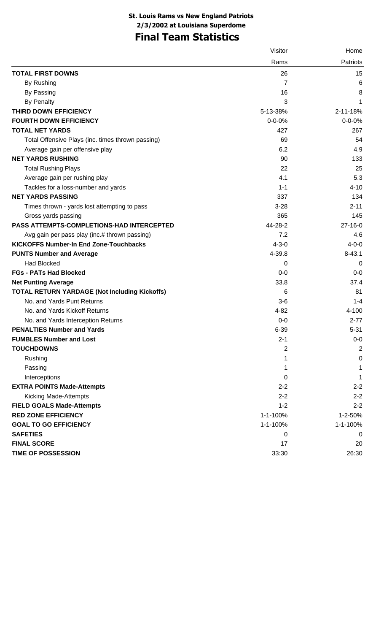## **Final Team Statistics**

|                                                      | Visitor      | Home           |
|------------------------------------------------------|--------------|----------------|
|                                                      | Rams         | Patriots       |
| <b>TOTAL FIRST DOWNS</b>                             | 26           | 15             |
| By Rushing                                           | 7            | 6              |
| By Passing                                           | 16           | 8              |
| <b>By Penalty</b>                                    | 3            | 1              |
| THIRD DOWN EFFICIENCY                                | 5-13-38%     | 2-11-18%       |
| <b>FOURTH DOWN EFFICIENCY</b>                        | $0 - 0 - 0%$ | $0 - 0 - 0%$   |
| <b>TOTAL NET YARDS</b>                               | 427          | 267            |
| Total Offensive Plays (inc. times thrown passing)    | 69           | 54             |
| Average gain per offensive play                      | 6.2          | 4.9            |
| <b>NET YARDS RUSHING</b>                             | 90           | 133            |
| <b>Total Rushing Plays</b>                           | 22           | 25             |
| Average gain per rushing play                        | 4.1          | 5.3            |
| Tackles for a loss-number and yards                  | $1 - 1$      | $4 - 10$       |
| <b>NET YARDS PASSING</b>                             | 337          | 134            |
| Times thrown - yards lost attempting to pass         | $3 - 28$     | $2 - 11$       |
| Gross yards passing                                  | 365          | 145            |
| <b>PASS ATTEMPTS-COMPLETIONS-HAD INTERCEPTED</b>     | 44-28-2      | $27 - 16 - 0$  |
| Avg gain per pass play (inc.# thrown passing)        | 7.2          | 4.6            |
| <b>KICKOFFS Number-In End Zone-Touchbacks</b>        | $4 - 3 - 0$  | $4 - 0 - 0$    |
| <b>PUNTS Number and Average</b>                      | 4-39.8       | $8 - 43.1$     |
| <b>Had Blocked</b>                                   | 0            | 0              |
| <b>FGs - PATs Had Blocked</b>                        | $0-0$        | $0 - 0$        |
| <b>Net Punting Average</b>                           | 33.8         | 37.4           |
| <b>TOTAL RETURN YARDAGE (Not Including Kickoffs)</b> | 6            | 81             |
| No. and Yards Punt Returns                           | $3-6$        | $1 - 4$        |
| No. and Yards Kickoff Returns                        | $4 - 82$     | 4-100          |
| No. and Yards Interception Returns                   | $0-0$        | $2 - 77$       |
| <b>PENALTIES Number and Yards</b>                    | $6 - 39$     | $5 - 31$       |
| <b>FUMBLES Number and Lost</b>                       | $2 - 1$      | $0-0$          |
| <b>TOUCHDOWNS</b>                                    | 2            | $\overline{2}$ |
| Rushing                                              | 1            | 0              |
| Passing                                              | 1            | 1              |
| Interceptions                                        | 0            | 1              |
| <b>EXTRA POINTS Made-Attempts</b>                    | $2 - 2$      | $2 - 2$        |
| <b>Kicking Made-Attempts</b>                         | $2 - 2$      | $2 - 2$        |
| <b>FIELD GOALS Made-Attempts</b>                     | $1 - 2$      | $2 - 2$        |
| <b>RED ZONE EFFICIENCY</b>                           | 1-1-100%     | 1-2-50%        |
| <b>GOAL TO GO EFFICIENCY</b>                         | 1-1-100%     | 1-1-100%       |
| <b>SAFETIES</b>                                      | 0            | 0              |
| <b>FINAL SCORE</b>                                   | 17           | 20             |
| <b>TIME OF POSSESSION</b>                            | 33:30        | 26:30          |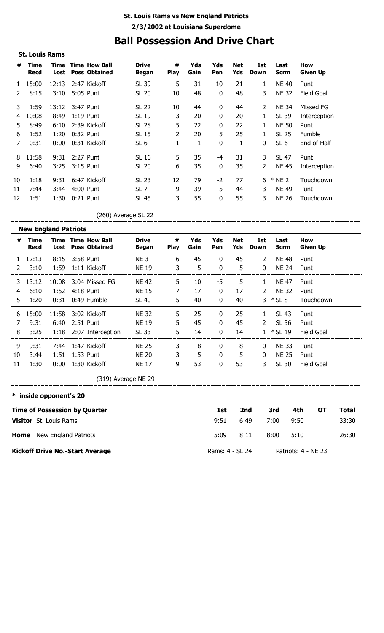## **Ball Possession And Drive Chart**

|    | <b>St. Louis Rams</b> |                 |                |                                                   |                              |                  |             |            |                   |                       |                     |                        |
|----|-----------------------|-----------------|----------------|---------------------------------------------------|------------------------------|------------------|-------------|------------|-------------------|-----------------------|---------------------|------------------------|
| #  | Time<br><b>Recd</b>   | Time            |                | <b>Time How Ball</b><br><b>Lost</b> Poss Obtained | <b>Drive</b><br><b>Began</b> | #<br><b>Play</b> | Yds<br>Gain | Yds<br>Pen | <b>Net</b><br>Yds | 1st<br>Down           | Last<br><b>Scrm</b> | How<br><b>Given Up</b> |
|    | 15:00                 |                 |                | 12:13 2:47 Kickoff                                | SL 39                        | 5                | 31          | -10        | 21                | $\mathbf{1}$          | NE 40               | Punt                   |
| 2  | 8:15                  |                 | 3:10 5:05 Punt |                                                   | SL 20                        | 10               | 48          | 0          | 48                | 3                     | <b>NE 32</b>        | <b>Field Goal</b>      |
| 3  | 1:59                  | 13:12 3:47 Punt |                |                                                   | SL 22                        | 10               | 44          | 0          | 44                | 2                     | NE 34               | Missed FG              |
| 4  | 10:08                 | 8:49            | $1:19$ Punt    |                                                   | SL 19                        | 3                | 20          | 0          | 20                | 1                     | SL 39               | Interception           |
| 5. | 8:49                  | 6:10            |                | 2:39 Kickoff                                      | SL 28                        | 5                | 22          | 0          | 22                |                       | <b>NE 50</b>        | Punt                   |
| 6  | 1:52                  | 1:20            | 0:32 Punt      |                                                   | SL 15                        | 2                | 20          | 5          | 25                |                       | SL 25               | Fumble                 |
| 7  | 0:31                  | 0:00            |                | 0:31 Kickoff                                      | SL <sub>6</sub>              | 1                | $-1$        | $\bf{0}$   | $-1$              | $\mathbf{0}$          | SL 6                | End of Half            |
| 8  | 11:58                 | 9:31            | 2:27 Punt      |                                                   | <b>SL 16</b>                 | 5                | 35          | -4         | 31                | 3                     | SL 47               | Punt                   |
| 9  | 6:40                  |                 | 3:25 3:15 Punt |                                                   | SL 20                        | 6                | 35          | 0          | 35                | $\mathbf{2}^{\prime}$ | NE 45               | Interception           |
| 10 | 1:18                  | 9:31            |                | 6:47 Kickoff                                      | SL 23                        | 12               | 79          | $-2$       | 77                | 6                     | $*$ NE 2            | Touchdown              |
| 11 | 7:44                  | 3:44            | 4:00 Punt      |                                                   | SL <sub>7</sub>              | 9                | 39          | 5          | 44                | 3                     | <b>NE 49</b>        | Punt                   |
| 12 | 1:51                  | 1:30            | $0:21$ Punt    |                                                   | SL 45                        | 3                | 55          | 0          | 55                | 3                     | <b>NE 26</b>        | Touchdown              |

(260) Average SL 22

|    | <b>New England Patriots</b> |       |           |                                                        |                              |                  |             |              |                   |                       |                     |                   |
|----|-----------------------------|-------|-----------|--------------------------------------------------------|------------------------------|------------------|-------------|--------------|-------------------|-----------------------|---------------------|-------------------|
| #  | Time<br><b>Recd</b>         |       |           | <b>Time Time How Ball</b><br><b>Lost</b> Poss Obtained | <b>Drive</b><br><b>Began</b> | #<br><b>Play</b> | Yds<br>Gain | Yds<br>Pen   | <b>Net</b><br>Yds | 1st<br>Down           | Last<br><b>Scrm</b> | How<br>Given Up   |
|    | 12:13                       | 8:15  | 3:58 Punt |                                                        | NE <sub>3</sub>              | 6                | 45          | $\mathbf{0}$ | 45                | $\mathcal{L}$         | <b>NE 48</b>        | Punt              |
| 2  | 3:10                        | 1:59  |           | 1:11 Kickoff                                           | <b>NE 19</b>                 | 3                | 5           | $\bf{0}$     | 5                 | 0                     | <b>NE 24</b>        | Punt              |
| 3. | 13:12                       | 10:08 |           | 3:04 Missed FG                                         | <b>NE 42</b>                 | 5                | 10          | -5           | 5                 | 1                     | <b>NE 47</b>        | Punt              |
| 4  | 6:10                        | 1:52  |           | $4:18$ Punt                                            | <b>NE 15</b>                 | 7                | 17          | $\mathbf{0}$ | 17                | $\mathbf{2}^{\prime}$ | <b>NE 32</b>        | Punt              |
| 5. | 1:20                        | 0:31  |           | 0:49 Fumble                                            | SL 40                        | 5                | 40          | $\mathbf 0$  | 40                |                       | $3 * SL8$           | Touchdown         |
| 6  | 15:00                       | 11:58 |           | 3:02 Kickoff                                           | <b>NE 32</b>                 | 5                | 25          | $\mathbf{0}$ | 25                |                       | SL 43               | Punt              |
|    | 9:31                        | 6:40  |           | 2:51 Punt                                              | <b>NE 19</b>                 | 5                | 45          | $\mathbf{0}$ | 45                | $\overline{2}$        | SL 36               | Punt              |
| 8  | 3:25                        | 1:18  |           | 2:07 Interception                                      | SL 33                        | 5                | 14          | $\mathbf{0}$ | 14                |                       | $*$ SL 19           | <b>Field Goal</b> |
| 9  | 9:31                        | 7:44  |           | 1:47 Kickoff                                           | <b>NE 25</b>                 | 3                | 8           | 0            | 8                 | 0                     | <b>NE 33</b>        | Punt              |
| 10 | 3:44                        | 1:51  |           | 1:53 Punt                                              | <b>NE 20</b>                 | 3                | 5           | $\mathbf 0$  | 5                 | $\Omega$              | <b>NE 25</b>        | Punt              |
| 11 | 1:30                        | 0:00  |           | 1:30 Kickoff                                           | <b>NE 17</b>                 | 9                | 53          | $\mathbf{0}$ | 53                | 3.                    | SL 30               | Field Goal        |

(319) Average NE 29

### \_\_\_\_\_\_\_\_\_\_\_\_\_\_\_ **\* inside opponent's 20**

\_\_\_\_\_\_\_\_\_\_\_\_\_\_\_\_\_\_\_\_

| <b>Time of Possession by Quarter</b>   | 1st             | 2nd  | 3rd  | 4th                 | ΟТ | Total |
|----------------------------------------|-----------------|------|------|---------------------|----|-------|
| <b>Visitor</b> St. Louis Rams          | 9:51            | 6:49 | 7:00 | 9:50                |    | 33:30 |
| <b>Home</b> New England Patriots       | 5:09            | 8:11 | 8:00 | 5:10                |    | 26:30 |
| <b>Kickoff Drive No.-Start Average</b> | Rams: 4 - SL 24 |      |      | Patriots: 4 - NE 23 |    |       |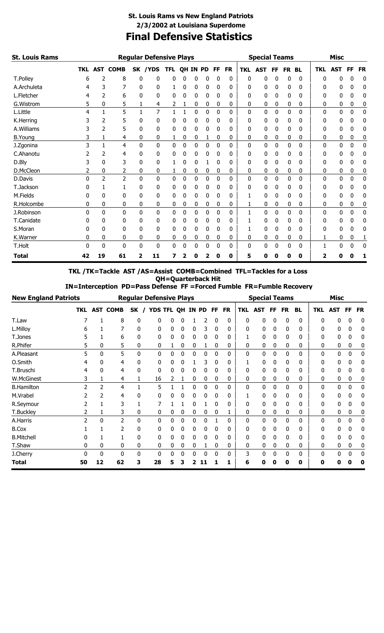### **Final Defensive Statistics St. Louis Rams vs New England Patriots 2/3/2002 at Louisiana Superdome**

| St. Louis Rams    |          |    |                |              | <b>Regular Defensive Plays</b> |            |   |   |          |           |           |            | <b>Special Teams</b> |           |       |   |              | <b>Misc</b> |           |           |
|-------------------|----------|----|----------------|--------------|--------------------------------|------------|---|---|----------|-----------|-----------|------------|----------------------|-----------|-------|---|--------------|-------------|-----------|-----------|
|                   |          |    | TKL AST COMB   |              | SK / YDS                       | <b>TFL</b> |   |   | QH IN PD | <b>FF</b> | <b>FR</b> | <b>TKL</b> | <b>AST</b>           | <b>FF</b> | FR BL |   | <b>TKL</b>   | <b>AST</b>  | <b>FF</b> | <b>FR</b> |
| T.Polley          | 6        | 2  | 8              | 0            | 0                              | 0          |   | 0 | 0        | 0         | 0         | 0          | 0                    | 0         | 0     | 0 | <sup>0</sup> | 0           | 0         | 0         |
| A.Archuleta       |          | 3  |                | 0            | 0                              |            | 0 | 0 | 0        | 0         | 0         | 0          | 0                    | 0         | 0     | 0 | 0            | 0           | 0         | 0         |
| L.Fletcher        | 4        | 2  | 6              | 0            | 0                              | 0          | 0 | 0 | 0        | 0         | 0         | 0          | 0                    | 0         | 0     | 0 | 0            | 0           | 0         | 0         |
| G.Wistrom         | 5        | 0  | 5              | 1            | 4                              | 2          | 1 | 0 | 0        | 0         | 0         | 0          | 0                    | 0         | 0     | 0 | 0            | 0           | 0         | 0         |
| L.Little          | 4        |    | 5              |              | 7                              | 1          | 1 | 0 | 0        | $\Omega$  | 0         | $\Omega$   | $\mathbf{0}$         | 0         | 0     | 0 | $\Omega$     | 0           | 0         | 0         |
| K.Herring         |          |    | 5              | 0            | 0                              | 0          | 0 | 0 | 0        | 0         | 0         | 0          | 0                    | 0         | 0     | 0 | 0            | 0           | 0         | 0         |
| A.Williams        |          | 2  | 5              | 0            | 0                              | 0          | 0 | 0 | 0        | 0         | 0         | 0          | 0                    | 0         | 0     | 0 | 0            | 0           | 0         | 0         |
| <b>B.Young</b>    | 3        | 1  | 4              | 0            | 0                              | 1          | 0 | 0 | 1        | 0         | 0         | 0          | 0                    | 0         | 0     | 0 | 0            | 0           | 0         | 0         |
| J.Zgonina         | 3        | 1  | 4              | 0            | 0                              | 0          | 0 | 0 | 0        | 0         | 0         | 0          | 0                    | 0         | 0     | 0 | 0            | 0           | 0         | 0         |
| C.Ahanotu         |          |    | 4              | 0            | 0                              | 0          | 0 | 0 | 0        | 0         | 0         | 0          | 0                    | 0         | 0     | 0 | 0            | 0           | 0         | 0         |
| D.Bly             |          | 0  | 3              | 0            | 0                              |            | 0 | 0 |          | 0         | 0         | 0          | 0                    | 0         | 0     | 0 | 0            | 0           | 0         | 0         |
| D.McCleon         |          | 0  | 2              | 0            | 0                              | 1          | 0 | 0 | 0        | 0         | 0         | 0          | 0                    | 0         | 0     | 0 | 0            | 0           | 0         | 0         |
| D.Davis           | $\Omega$ | 2  | $\overline{2}$ | 0            | 0                              | 0          | 0 | 0 | 0        | 0         | 0         | 0          | 0                    | 0         | 0     | 0 | 0            | 0           | 0         | 0         |
| T.Jackson         | 0        |    |                | 0            | 0                              | 0          | 0 | 0 | 0        | 0         | 0         | 0          | 0                    | 0         | 0     | 0 | 0            | 0           | 0         | 0         |
| M.Fields          | O        | n  | 0              | 0            | 0                              | 0          | 0 | 0 | 0        | 0         | 0         |            | 0                    | 0         | 0     | 0 | 0            | 0           | 0         | 0         |
| R.Holcombe        | 0        | 0  | 0              | 0            | 0                              | 0          | 0 | 0 | 0        | 0         | 0         |            | 0                    | 0         | 0     | 0 | 0            | 0           | 0         | 0         |
| J.Robinson        | $\Omega$ | 0  | 0              | $\mathbf{0}$ | 0                              | 0          | 0 | 0 | 0        | 0         | 0         | 1          | 0                    | 0         | 0     | 0 | 0            | 0           | 0         | 0         |
| <b>T.Canidate</b> | 0        | 0  | 0              | 0            | 0                              | 0          | 0 | 0 | 0        | 0         | 0         |            | 0                    | 0         | 0     | 0 | 0            | 0           | 0         | 0         |
| S.Moran           | 0        | 0  | 0              | 0            | 0                              | 0          | 0 | 0 | 0        | 0         | 0         |            | 0                    | 0         | 0     | 0 | 0            | 0           | 0         | 0         |
| K.Warner          | 0        | 0  | 0              | 0            | 0                              | 0          | 0 | 0 | 0        | 0         | 0         | 0          | 0                    | 0         | 0     | 0 | 1            | 0           | 0         |           |
| T.Holt            | $\Omega$ | 0  | 0              | 0            | 0                              | 0          | 0 | 0 | 0        | 0         | 0         | 0          | 0                    | 0         | 0     | 0 | 1            | 0           | 0         | 0         |
| <b>Total</b>      | 42       | 19 | 61             | 2            | 11                             | 7          | 2 | 0 | 2        | 0         | 0         | 5          | 0                    | 0         | 0     | 0 | $\mathbf{2}$ | 0           | Ω         | 1         |

**TKL /TK=Tackle AST /AS=Assist COMB=Combined TFL=Tackles for a Loss QH=Quarterback Hit**

 **IN=Interception PD=Pass Defense FF =Forced Fumble FR=Fumble Recovery**

|                   | <b>New England Patriots</b> |                |                 | <b>Regular Defensive Plays</b> |    |                  |   |   |   |             |           |            | <b>Special Teams</b> |              |    |    |            | <b>Misc</b> |           |           |
|-------------------|-----------------------------|----------------|-----------------|--------------------------------|----|------------------|---|---|---|-------------|-----------|------------|----------------------|--------------|----|----|------------|-------------|-----------|-----------|
|                   | TKL                         |                | <b>AST COMB</b> | SK                             |    | YDS TFL QH IN PD |   |   |   | FF          | <b>FR</b> | <b>TKL</b> | AST                  | FF           | FR | BL | <b>TKL</b> | <b>AST</b>  | <b>FF</b> | <b>FR</b> |
| T.Law             |                             |                | 8               |                                |    |                  |   |   |   |             | 0         | O          | 0                    | 0            | 0  | 0  | 0          |             | 0         | 0         |
| L.Milloy          | h                           |                |                 |                                | 0  | 0                | 0 | 0 | 3 | 0           | 0         | U          | 0                    | 0            | 0  |    | 0          | 0           | 0         | 0         |
| T.Jones           |                             |                | 6               | 0                              | 0  | 0                | 0 | 0 | 0 | 0           | 0         |            | 0                    | 0            | 0  | 0  | 0          | 0           | 0         | 0         |
| R.Phifer          |                             | 0              | 5               | 0                              | 0  |                  | 0 | 0 |   | 0           | 0         | 0          | 0                    | 0            | 0  | 0  | 0          | 0           | 0         | 0         |
| A.Pleasant        | 5                           | 0              | 5               | 0                              | 0  | 0                | 0 | 0 | 0 | 0           | 0         | 0          | 0                    | 0            | 0  | 0  | 0          | 0           | 0         | 0         |
| O.Smith           |                             | 0              | 4               |                                | 0  |                  | 0 |   | 3 | 0           | 0         |            | 0                    | 0            | 0  |    | 0          | 0           | 0         | 0         |
| T.Bruschi         |                             | 0              | 4               |                                | 0  | 0                | 0 | 0 | 0 | 0           | 0         | 0          | 0                    | 0            | 0  | 0  | 0          | 0           | 0         | 0         |
| W.McGinest        | 3                           |                | 4               |                                | 16 | 2                |   | 0 | 0 | 0           | 0         | 0          | 0                    | 0            | 0  | 0  | 0          | 0           | 0         | 0         |
| <b>B.Hamilton</b> |                             | $\overline{2}$ | 4               |                                | 5  |                  |   | 0 | 0 | 0           | 0         | 0          | 0                    | 0            | 0  | 0  | 0          | 0           | 0         | 0         |
| M.Vrabel          |                             |                | 4               |                                |    |                  |   |   |   |             | 0         |            | 0                    | 0            | 0  |    | 0          | 0           |           | 0         |
| R.Seymour         |                             |                | 3               |                                |    |                  |   | 0 |   | $\mathbf 0$ | 0         | 0          | 0                    | 0            | 0  | 0  | 0          | 0           | 0         | 0         |
| T.Buckley         |                             |                | 3               | 0                              | 0  | 0                | 0 | 0 | 0 | 0           | 1         | 0          | 0                    | 0            | 0  | 0  | 0          | 0           | 0         | 0         |
| A.Harris          |                             | 0              | 2               | 0                              | 0  | 0                | 0 | 0 | 0 |             | 0         | 0          | 0                    | $\mathbf{0}$ | 0  | 0  | 0          | 0           | 0         | 0         |
| <b>B.Cox</b>      |                             |                | 2               |                                | 0  |                  | 0 | 0 | 0 |             | 0         | 0          | 0                    | 0            | 0  | 0  | 0          | 0           | 0         | 0         |
| <b>B.Mitchell</b> |                             |                |                 |                                | 0  | 0                | 0 | 0 | 0 | 0           | 0         | 0          | 0                    | 0            | 0  | 0  | 0          | 0           | 0         | 0         |
| T.Shaw            | 0                           | 0              | 0               | 0                              | 0  | 0                | 0 | 0 |   | 0           | 0         | 0          | 0                    | 0            | 0  | 0  | 0          | 0           | 0         | 0         |
| J.Cherry          | O                           | 0              | 0               | 0                              | 0  | 0                | 0 | 0 | 0 | 0           | 0         | 3          | 0                    | 0            | 0  | 0  | 0          | 0           | 0         | 0         |
| <b>Total</b>      | 50                          | 12             | 62              | 3                              | 28 | 5                | 3 |   |   |             |           | 6          | 0                    | O            | O  | 0  | 0          |             |           | 0         |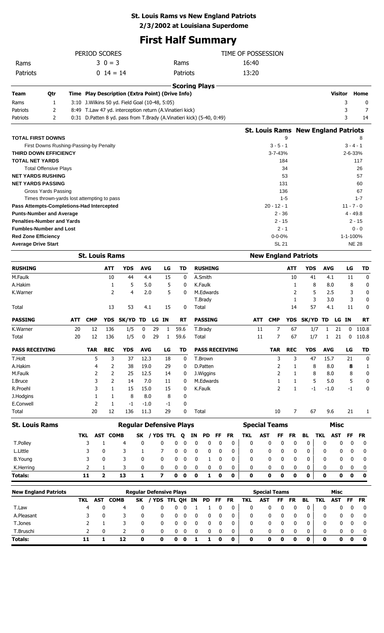#### **St. Louis Rams vs New England Patriots**

**2/3/2002 at Louisiana Superdome**

## **First Half Summary**

|                                                 |                                            |     | PERIOD SCORES            |                |                                                                       |                                |    |                         |             |               |        |                      |           |                       | TIME OF POSSESSION   |                      |                          |              |                                            |                |                  |                  |                  |
|-------------------------------------------------|--------------------------------------------|-----|--------------------------|----------------|-----------------------------------------------------------------------|--------------------------------|----|-------------------------|-------------|---------------|--------|----------------------|-----------|-----------------------|----------------------|----------------------|--------------------------|--------------|--------------------------------------------|----------------|------------------|------------------|------------------|
| Rams                                            |                                            |     |                          | $30 = 3$       |                                                                       |                                |    |                         | Rams        |               |        |                      |           |                       | 16:40                |                      |                          |              |                                            |                |                  |                  |                  |
| Patriots                                        |                                            |     |                          | $0 \t14 = 14$  |                                                                       |                                |    |                         | Patriots    |               |        |                      |           |                       | 13:20                |                      |                          |              |                                            |                |                  |                  |                  |
|                                                 |                                            |     |                          |                |                                                                       |                                |    |                         |             |               |        | <b>Scoring Plays</b> |           |                       |                      |                      |                          |              |                                            |                |                  |                  |                  |
| Team                                            | Qtr                                        |     |                          |                | Time Play Description (Extra Point) (Drive Info)                      |                                |    |                         |             |               |        |                      |           |                       |                      |                      |                          |              |                                            |                | <b>Visitor</b>   |                  | Home             |
| Rams                                            | 1                                          |     |                          |                | 3:10 J. Wilkins 50 yd. Field Goal (10-48, 5:05)                       |                                |    |                         |             |               |        |                      |           |                       |                      |                      |                          |              |                                            |                |                  | 3                | 0                |
| Patriots                                        | 2                                          |     |                          |                | 8:49 T.Law 47 yd. interception return (A.Vinatieri kick)              |                                |    |                         |             |               |        |                      |           |                       |                      |                      |                          |              |                                            |                |                  | 3                | 7                |
| Patriots                                        | 2                                          |     |                          |                | 0:31 D.Patten 8 yd. pass from T.Brady (A.Vinatieri kick) (5-40, 0:49) |                                |    |                         |             |               |        |                      |           |                       |                      |                      |                          |              |                                            |                |                  | 3                | 14               |
|                                                 |                                            |     |                          |                |                                                                       |                                |    |                         |             |               |        |                      |           |                       |                      |                      |                          |              | <b>St. Louis Rams New England Patriots</b> |                |                  |                  |                  |
| <b>TOTAL FIRST DOWNS</b>                        |                                            |     |                          |                |                                                                       |                                |    |                         |             |               |        |                      |           |                       |                      |                      |                          | 9            |                                            |                |                  |                  | 8                |
|                                                 | First Downs Rushing-Passing-by Penalty     |     |                          |                |                                                                       |                                |    |                         |             |               |        |                      |           |                       |                      |                      | $3 - 5 - 1$              |              |                                            |                |                  | $3 - 4 - 1$      |                  |
| THIRD DOWN EFFICIENCY<br><b>TOTAL NET YARDS</b> |                                            |     |                          |                |                                                                       |                                |    |                         |             |               |        |                      |           |                       |                      |                      | 3-7-43%<br>184           |              |                                            |                |                  | 2-6-33%          | 117              |
|                                                 | <b>Total Offensive Plays</b>               |     |                          |                |                                                                       |                                |    |                         |             |               |        |                      |           |                       |                      |                      | 34                       |              |                                            |                |                  |                  | 26               |
| <b>NET YARDS RUSHING</b>                        |                                            |     |                          |                |                                                                       |                                |    |                         |             |               |        |                      |           |                       |                      |                      | 53                       |              |                                            |                |                  |                  | 57               |
| <b>NET YARDS PASSING</b>                        |                                            |     |                          |                |                                                                       |                                |    |                         |             |               |        |                      |           |                       |                      |                      | 131                      |              |                                            |                |                  |                  | 60               |
|                                                 | Gross Yards Passing                        |     |                          |                |                                                                       |                                |    |                         |             |               |        |                      |           |                       |                      |                      | 136                      |              |                                            |                |                  |                  | 67               |
| Pass Attempts-Completions-Had Intercepted       | Times thrown-yards lost attempting to pass |     |                          |                |                                                                       |                                |    |                         |             |               |        |                      |           |                       |                      |                      | $1 - 5$<br>$20 - 12 - 1$ |              |                                            |                |                  | $11 - 7 - 0$     | $1 - 7$          |
| <b>Punts-Number and Average</b>                 |                                            |     |                          |                |                                                                       |                                |    |                         |             |               |        |                      |           |                       |                      |                      | $2 - 36$                 |              |                                            |                |                  | $4 - 49.8$       |                  |
| <b>Penalties-Number and Yards</b>               |                                            |     |                          |                |                                                                       |                                |    |                         |             |               |        |                      |           |                       |                      |                      | $2 - 15$                 |              |                                            |                |                  | 2 - 15           |                  |
| <b>Fumbles-Number and Lost</b>                  |                                            |     |                          |                |                                                                       |                                |    |                         |             |               |        |                      |           |                       |                      |                      | $2 - 1$                  |              |                                            |                |                  |                  | $0 - 0$          |
| <b>Red Zone Efficiency</b>                      |                                            |     |                          |                |                                                                       |                                |    |                         |             |               |        |                      |           |                       |                      |                      | $0 - 0 - 0%$             |              |                                            |                |                  | 1-1-100%         |                  |
| <b>Average Drive Start</b>                      |                                            |     |                          |                |                                                                       |                                |    |                         |             |               |        |                      |           |                       |                      |                      | <b>SL 21</b>             |              |                                            |                |                  | <b>NE 28</b>     |                  |
|                                                 |                                            |     | <b>St. Louis Rams</b>    |                |                                                                       |                                |    |                         |             |               |        |                      |           |                       |                      |                      |                          |              | <b>New England Patriots</b>                |                |                  |                  |                  |
| <b>RUSHING</b>                                  |                                            |     |                          | ATT            | <b>YDS</b>                                                            | <b>AVG</b>                     |    | LG                      | <b>TD</b>   |               |        | <b>RUSHING</b>       |           |                       |                      |                      |                          | <b>ATT</b>   | <b>YDS</b>                                 | <b>AVG</b>     |                  | LG               | TD               |
| M.Faulk                                         |                                            |     |                          | 10             | 44                                                                    | 4.4                            |    | 15                      |             | 0             |        | A.Smith              |           |                       |                      |                      |                          | 10           | 41                                         | 4.1            |                  | 11               | 0                |
| A.Hakim                                         |                                            |     |                          | 1<br>2         | 5<br>4                                                                | 5.0<br>2.0                     |    | 5<br>5                  |             | 0<br>0        |        | K.Faulk<br>M.Edwards |           |                       |                      |                      |                          | 1<br>2       | 8<br>5                                     | 8.0<br>2.5     |                  | 8<br>3           | 0<br>$\mathbf 0$ |
| K.Warner                                        |                                            |     |                          |                |                                                                       |                                |    |                         |             |               |        | T.Brady              |           |                       |                      |                      |                          | 1            | 3                                          | 3.0            |                  | 3                | 0                |
| Total                                           |                                            |     |                          | 13             | 53                                                                    | 4.1                            |    | 15                      |             | 0             | Total  |                      |           |                       |                      |                      |                          | 14           | 57                                         | 4.1            |                  | 11               | 0                |
| <b>PASSING</b>                                  |                                            | ATT | <b>CMP</b>               |                | YDS SK/YD TD                                                          |                                |    | LG IN                   | <b>RT</b>   |               |        | <b>PASSING</b>       |           |                       | <b>ATT</b>           | <b>CMP</b>           |                          |              | YDS SK/YD TD                               |                | LG IN            |                  | RT               |
| K.Warner                                        |                                            | 20  | 12                       | 136            | 1/5                                                                   | 0                              | 29 | $\,$ 1 $\,$             | 59.6        |               |        | T.Brady              |           |                       | 11                   |                      | 7                        | 67           | 1/7                                        | $\blacksquare$ | 21               |                  | $0$ 110.8        |
| Total                                           |                                            | 20  | 12                       | 136            | 1/5                                                                   | 0                              | 29 | 1                       | 59.6        |               | Total  |                      |           |                       | $11\,$               |                      | 7                        | 67           | 1/7                                        | 1              | 21               | 0                | 110.8            |
| <b>PASS RECEIVING</b>                           |                                            |     | <b>TAR</b>               | <b>REC</b>     | <b>YDS</b>                                                            | <b>AVG</b>                     |    | LG                      | <b>TD</b>   |               |        |                      |           | <b>PASS RECEIVING</b> |                      |                      | <b>TAR</b>               | <b>REC</b>   | <b>YDS</b>                                 | <b>AVG</b>     |                  | LG               | TD               |
| T.Holt                                          |                                            |     | 5                        | 3              | 37                                                                    | 12.3                           |    | 18                      |             | 0             |        | T.Brown              |           |                       |                      |                      | 3                        | 3            | 47                                         | 15.7           |                  | 21               | 0                |
| A.Hakim                                         |                                            |     | 4                        | 2              | 38                                                                    | 19.0                           |    | 29                      |             | 0             |        | D.Patten             |           |                       |                      |                      | 2                        | 1            | 8                                          | 8.0            |                  | 8                | 1                |
| M.Faulk                                         |                                            |     | 2                        | 2              | 25                                                                    | 12.5                           |    | 14                      |             | 0             |        | J.Wiggins            |           |                       |                      |                      | 2                        | 1            | 8                                          | 8.0            |                  | 8                | 0                |
| I.Bruce                                         |                                            |     | 3                        | 2              | 14                                                                    | 7.0                            |    | 11                      |             | 0             |        | M.Edwards            |           |                       |                      |                      | 1                        | 1            | 5                                          | 5.0            |                  | 5                | 0                |
| R.Proehl<br>J.Hodgins                           |                                            |     | 3<br>1                   | 1              | 15<br>8                                                               | 15.0                           |    | 15<br>8                 |             | 0<br>0        |        | K.Faulk              |           |                       |                      |                      | $\overline{2}$           | $\mathbf{1}$ | $-1$                                       | $-1.0$         |                  | $-1$             | 0                |
| E.Conwell                                       |                                            |     | 2                        | 1<br>1         | -1                                                                    | 8.0<br>$-1.0$                  |    | $-1$                    |             | 0             |        |                      |           |                       |                      |                      |                          |              |                                            |                |                  |                  |                  |
| <b>Total</b>                                    |                                            |     | 20                       | 12             | 136                                                                   | 11.3                           |    | 29                      |             | 0             | Total  |                      |           |                       |                      |                      | 10                       | 7            | 67                                         | 9.6            |                  | 21               | 1                |
| <b>St. Louis Rams</b>                           |                                            |     |                          |                | <b>Regular Defensive Plays</b>                                        |                                |    |                         |             |               |        |                      |           |                       | <b>Special Teams</b> |                      |                          |              |                                            |                | <b>Misc</b>      |                  |                  |
|                                                 |                                            |     | <b>AST</b><br>TKL        | <b>COMB</b>    |                                                                       | <b>SK</b>                      |    | / YDS TFL               | Q           |               | ΙN     | PD                   | FF        | <b>FR</b>             | <b>TKL</b>           | <b>AST</b>           | FF                       | <b>FR</b>    | <b>BL</b>                                  | <b>TKL</b>     | <b>AST</b>       | <b>FF</b>        | <b>FR</b>        |
| T.Polley                                        |                                            |     | 3                        | $\mathbf{1}$   | 4                                                                     | $\mathbf 0$                    |    | 0                       | 0           | 0             | 0      | 0                    | 0         | 0                     | 0                    | 0                    | 0                        | 0            | $\bf{0}$                                   | 0              | 0                | 0                | 0                |
| L.Little                                        |                                            |     | 3                        | 0              | 3                                                                     | 1                              |    | 7                       | 0           | 0             | 0      | 0                    | 0         | 0                     | 0                    | 0                    | 0                        | 0            | 0                                          | 0              | 0                | 0                | 0                |
| <b>B.Young</b>                                  |                                            |     | 3                        | 0              | 3                                                                     | 0                              |    | 0                       | 0           | 0             | 0      | 1                    | 0         | 0                     | 0                    | 0                    | 0                        | 0            | 0                                          | 0              | 0                | 0                | 0                |
| K.Herring                                       |                                            |     | 2                        | 1              | 3                                                                     | 0                              |    | 0                       | 0           | 0             | 0      | 0                    | 0         | 0                     | 0                    | 0                    | 0                        | 0            | 0                                          | 0              | 0                | 0                | 0                |
| <b>Totals:</b>                                  |                                            |     | 11                       | $\overline{2}$ | 13                                                                    | $\mathbf{1}$                   |    | $\overline{\mathbf{z}}$ | $\mathbf 0$ | $\bf{0}$      | 0      | 1                    | 0         | $\mathbf 0$           | 0                    | $\mathbf 0$          | $\mathbf 0$              | 0            | 0                                          | 0              | $\mathbf 0$      | $\mathbf 0$      | $\bf{0}$         |
| <b>New England Patriots</b>                     |                                            |     |                          |                |                                                                       | <b>Regular Defensive Plays</b> |    |                         |             |               |        |                      |           |                       |                      | <b>Special Teams</b> |                          |              |                                            |                | <b>Misc</b>      |                  |                  |
|                                                 |                                            |     | <b>AST</b><br><b>TKL</b> | <b>COMB</b>    |                                                                       | <b>SK</b>                      |    | / YDS TFL QH IN         |             |               |        | PD                   | <b>FF</b> | <b>FR</b>             | <b>TKL</b>           | <b>AST</b>           | <b>FF</b>                | <b>FR</b>    | <b>BL</b>                                  | <b>TKL</b>     | <b>AST</b>       | FF               | <b>FR</b>        |
| T.Law                                           |                                            |     | 4                        | 0              | 4                                                                     | 0                              |    | 0                       | 0           | 0             | 1      | 1                    | 0         | 0                     | 0                    | 0                    | 0                        | 0            | 0                                          | 0              | 0                | 0                | 0                |
| A.Pleasant                                      |                                            |     | 3                        | 0              | 3                                                                     | 0                              |    | 0                       | 0           | 0             | 0      | 0                    | 0         | 0                     | 0                    | 0                    | 0                        | 0            | 0                                          | 0              | 0                | 0                | 0                |
| T.Jones                                         |                                            |     | 2                        | 1              | 3                                                                     | 0                              |    | 0                       | 0           | 0             | 0      | 0                    | 0         | 0                     | 0                    | 0                    | 0                        | 0            | 0                                          | 0              | 0                | 0                | 0                |
| T.Bruschi<br><b>Totals:</b>                     |                                            |     | 2<br>11                  | 0<br>1         | 2<br>12                                                               | 0<br>0                         |    | 0<br>$\mathbf 0$        | 0<br>0      | 0<br>$\bf{0}$ | 0<br>1 | 0<br>1               | 0<br>0    | 0<br>0                | 0<br>0               | 0<br>0               | 0<br>$\mathbf 0$         | 0<br>0       | 0<br>0                                     | 0<br>0         | 0<br>$\mathbf 0$ | 0<br>$\mathbf 0$ | 0<br>0           |
|                                                 |                                            |     |                          |                |                                                                       |                                |    |                         |             |               |        |                      |           |                       |                      |                      |                          |              |                                            |                |                  |                  |                  |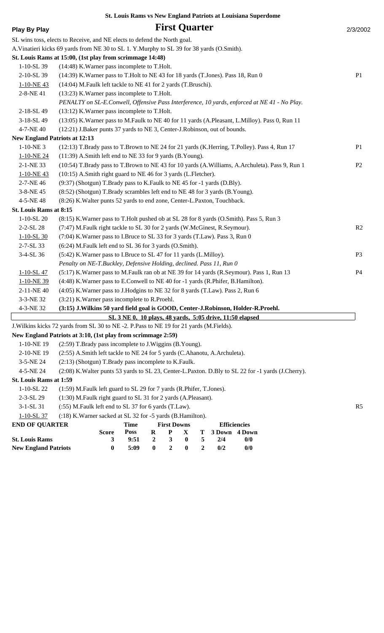| <b>Play By Play</b>         |                                                                                             |                                                          |                  | <b>First Quarter</b>    |                  |                  |        |                                                                                                       | 2/3/2002       |
|-----------------------------|---------------------------------------------------------------------------------------------|----------------------------------------------------------|------------------|-------------------------|------------------|------------------|--------|-------------------------------------------------------------------------------------------------------|----------------|
|                             | SL wins toss, elects to Receive, and NE elects to defend the North goal.                    |                                                          |                  |                         |                  |                  |        |                                                                                                       |                |
|                             | A. Vinatieri kicks 69 yards from NE 30 to SL 1. Y. Murphy to SL 39 for 38 yards (O. Smith). |                                                          |                  |                         |                  |                  |        |                                                                                                       |                |
|                             | St. Louis Rams at 15:00, (1st play from scrimmage 14:48)                                    |                                                          |                  |                         |                  |                  |        |                                                                                                       |                |
| 1-10-SL 39                  | (14:48) K. Warner pass incomplete to T. Holt.                                               |                                                          |                  |                         |                  |                  |        |                                                                                                       |                |
| 2-10-SL 39                  | (14:39) K. Warner pass to T. Holt to NE 43 for 18 yards (T. Jones). Pass 18, Run 0          |                                                          |                  |                         |                  |                  |        |                                                                                                       | P <sub>1</sub> |
| 1-10-NE43                   | (14:04) M.Faulk left tackle to NE 41 for 2 yards (T.Bruschi).                               |                                                          |                  |                         |                  |                  |        |                                                                                                       |                |
| 2-8-NE41                    | (13:23) K. Warner pass incomplete to T. Holt.                                               |                                                          |                  |                         |                  |                  |        |                                                                                                       |                |
|                             |                                                                                             |                                                          |                  |                         |                  |                  |        | PENALTY on SL-E.Conwell, Offensive Pass Interference, 10 yards, enforced at NE 41 - No Play.          |                |
| 2-18-SL 49                  | (13:12) K. Warner pass incomplete to T. Holt.                                               |                                                          |                  |                         |                  |                  |        |                                                                                                       |                |
| 3-18-SL 49                  |                                                                                             |                                                          |                  |                         |                  |                  |        | (13:05) K. Warner pass to M. Faulk to NE 40 for 11 yards (A. Pleasant, L. Milloy). Pass 0, Run 11     |                |
| 4-7-NE 40                   | (12:21) J.Baker punts 37 yards to NE 3, Center-J.Robinson, out of bounds.                   |                                                          |                  |                         |                  |                  |        |                                                                                                       |                |
|                             | <b>New England Patriots at 12:13</b>                                                        |                                                          |                  |                         |                  |                  |        |                                                                                                       |                |
| $1-10-NE$ 3                 |                                                                                             |                                                          |                  |                         |                  |                  |        | (12:13) T.Brady pass to T.Brown to NE 24 for 21 yards (K.Herring, T.Polley). Pass 4, Run 17           | P <sub>1</sub> |
| 1-10-NE 24                  | (11:39) A.Smith left end to NE 33 for 9 yards (B.Young).                                    |                                                          |                  |                         |                  |                  |        |                                                                                                       |                |
| 2-1-NE 33                   |                                                                                             |                                                          |                  |                         |                  |                  |        | (10:54) T.Brady pass to T.Brown to NE 43 for 10 yards (A.Williams, A.Archuleta). Pass 9, Run 1        | P <sub>2</sub> |
| 1-10-NE43                   | (10:15) A.Smith right guard to NE 46 for 3 yards (L.Fletcher).                              |                                                          |                  |                         |                  |                  |        |                                                                                                       |                |
| 2-7-NE 46                   | (9:37) (Shotgun) T.Brady pass to K.Faulk to NE 45 for -1 yards (D.Bly).                     |                                                          |                  |                         |                  |                  |        |                                                                                                       |                |
| 3-8-NE 45                   | (8:52) (Shotgun) T.Brady scrambles left end to NE 48 for 3 yards (B.Young).                 |                                                          |                  |                         |                  |                  |        |                                                                                                       |                |
| 4-5-NE48                    | (8:26) K. Walter punts 52 yards to end zone, Center-L. Paxton, Touchback.                   |                                                          |                  |                         |                  |                  |        |                                                                                                       |                |
| St. Louis Rams at 8:15      |                                                                                             |                                                          |                  |                         |                  |                  |        |                                                                                                       |                |
| $1-10-SL20$                 | (8:15) K. Warner pass to T. Holt pushed ob at SL 28 for 8 yards (O. Smith). Pass 5, Run 3   |                                                          |                  |                         |                  |                  |        |                                                                                                       |                |
| 2-2-SL 28                   | (7:47) M.Faulk right tackle to SL 30 for 2 yards (W.McGinest, R.Seymour).                   |                                                          |                  |                         |                  |                  |        |                                                                                                       | R2             |
| $1 - 10 - SL_30$            | (7:04) K. Warner pass to I. Bruce to SL 33 for 3 yards (T. Law). Pass 3, Run 0              |                                                          |                  |                         |                  |                  |        |                                                                                                       |                |
| 2-7-SL 33                   | (6:24) M.Faulk left end to SL 36 for 3 yards (O.Smith).                                     |                                                          |                  |                         |                  |                  |        |                                                                                                       |                |
| 3-4-SL 36                   | (5:42) K. Warner pass to I. Bruce to SL 47 for 11 yards (L. Milloy).                        |                                                          |                  |                         |                  |                  |        |                                                                                                       | P <sub>3</sub> |
|                             | Penalty on NE-T.Buckley, Defensive Holding, declined. Pass 11, Run 0                        |                                                          |                  |                         |                  |                  |        |                                                                                                       |                |
| $1 - 10 - SL47$             | (5:17) K. Warner pass to M. Faulk ran ob at NE 39 for 14 yards (R. Seymour). Pass 1, Run 13 |                                                          |                  |                         |                  |                  |        |                                                                                                       | P4             |
| 1-10-NE 39                  | (4:48) K. Warner pass to E. Conwell to NE 40 for -1 yards (R. Phifer, B. Hamilton).         |                                                          |                  |                         |                  |                  |        |                                                                                                       |                |
| 2-11-NE 40                  | (4:05) K. Warner pass to J. Hodgins to NE 32 for 8 yards (T. Law). Pass 2, Run 6            |                                                          |                  |                         |                  |                  |        |                                                                                                       |                |
| 3-3-NE 32                   | (3:21) K. Warner pass incomplete to R. Proehl.                                              |                                                          |                  |                         |                  |                  |        |                                                                                                       |                |
| 4-3-NE 32                   | (3:15) J. Wilkins 50 yard field goal is GOOD, Center-J. Robinson, Holder-R. Proehl.         |                                                          |                  |                         |                  |                  |        |                                                                                                       |                |
|                             |                                                                                             | SL 3 NE 0, 10 plays, 48 yards, 5:05 drive, 11:50 elapsed |                  |                         |                  |                  |        |                                                                                                       |                |
|                             | J. Wilkins kicks 72 yards from SL 30 to NE -2. P. Pass to NE 19 for 21 yards (M. Fields).   |                                                          |                  |                         |                  |                  |        |                                                                                                       |                |
|                             | New England Patriots at 3:10, (1st play from scrimmage 2:59)                                |                                                          |                  |                         |                  |                  |        |                                                                                                       |                |
| 1-10-NE 19                  | (2:59) T.Brady pass incomplete to J.Wiggins (B.Young).                                      |                                                          |                  |                         |                  |                  |        |                                                                                                       |                |
| 2-10-NE 19                  | (2:55) A.Smith left tackle to NE 24 for 5 yards (C.Ahanotu, A.Archuleta).                   |                                                          |                  |                         |                  |                  |        |                                                                                                       |                |
| 3-5-NE 24                   | (2:13) (Shotgun) T.Brady pass incomplete to K.Faulk.                                        |                                                          |                  |                         |                  |                  |        |                                                                                                       |                |
| 4-5-NE 24                   |                                                                                             |                                                          |                  |                         |                  |                  |        | (2:08) K. Walter punts 53 yards to SL 23, Center-L. Paxton. D. Bly to SL 22 for -1 yards (J. Cherry). |                |
| St. Louis Rams at 1:59      |                                                                                             |                                                          |                  |                         |                  |                  |        |                                                                                                       |                |
| 1-10-SL 22                  | (1:59) M.Faulk left guard to SL 29 for 7 yards (R.Phifer, T.Jones).                         |                                                          |                  |                         |                  |                  |        |                                                                                                       |                |
| 2-3-SL 29                   | (1:30) M.Faulk right guard to SL 31 for 2 yards (A.Pleasant).                               |                                                          |                  |                         |                  |                  |        |                                                                                                       |                |
| 3-1-SL 31                   | (:55) M.Faulk left end to SL 37 for 6 yards (T.Law).                                        |                                                          |                  |                         |                  |                  |        |                                                                                                       | R <sub>5</sub> |
| 1-10-SL 37                  | (:18) K. Warner sacked at SL 32 for -5 yards (B. Hamilton).                                 |                                                          |                  |                         |                  |                  |        |                                                                                                       |                |
| <b>END OF QUARTER</b>       | <b>Score</b>                                                                                | <b>Time</b><br><b>Poss</b>                               | $\bf R$          | <b>First Downs</b><br>P | X                | т                | 3 Down | <b>Efficiencies</b><br>4 Down                                                                         |                |
| <b>St. Louis Rams</b>       | 3                                                                                           | 9:51                                                     | $\boldsymbol{2}$ | 3                       | $\boldsymbol{0}$ | 5                | 2/4    | 0/0                                                                                                   |                |
| <b>New England Patriots</b> | $\bf{0}$                                                                                    | 5:09                                                     | $\bf{0}$         | $\boldsymbol{2}$        | $\boldsymbol{0}$ | $\boldsymbol{2}$ | 0/2    | 0/0                                                                                                   |                |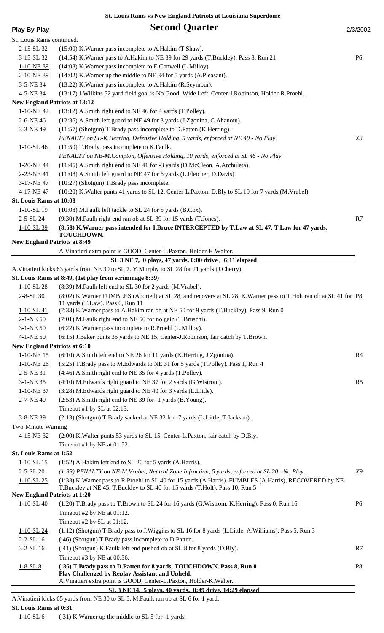| <b>Play By Play</b>                  | <b>Second Quarter</b>                                                                                             | 2/3/2002       |
|--------------------------------------|-------------------------------------------------------------------------------------------------------------------|----------------|
| St. Louis Rams continued.            |                                                                                                                   |                |
| 2-15-SL 32                           | (15:00) K. Warner pass incomplete to A. Hakim (T. Shaw).                                                          |                |
| 3-15-SL 32                           | (14:54) K. Warner pass to A. Hakim to NE 39 for 29 yards (T. Buckley). Pass 8, Run 21                             | P <sub>6</sub> |
| 1-10-NE 39                           | (14:08) K. Warner pass incomplete to E. Conwell (L. Milloy).                                                      |                |
| 2-10-NE 39                           | (14:02) K. Warner up the middle to NE 34 for 5 yards (A. Pleasant).                                               |                |
| 3-5-NE 34                            | (13:22) K. Warner pass incomplete to A. Hakim (R. Seymour).                                                       |                |
| 4-5-NE 34                            | (13:17) J. Wilkins 52 yard field goal is No Good, Wide Left, Center-J. Robinson, Holder-R. Proehl.                |                |
| <b>New England Patriots at 13:12</b> |                                                                                                                   |                |
| 1-10-NE42                            | (13:12) A.Smith right end to NE 46 for 4 yards (T.Polley).                                                        |                |
| 2-6-NE 46                            | (12:36) A.Smith left guard to NE 49 for 3 yards (J.Zgonina, C.Ahanotu).                                           |                |
| 3-3-NE 49                            | (11:57) (Shotgun) T.Brady pass incomplete to D.Patten (K.Herring).                                                |                |
|                                      | PENALTY on SL-K.Herring, Defensive Holding, 5 yards, enforced at NE 49 - No Play.                                 | X3             |
| $1 - 10 - SL46$                      | (11:50) T.Brady pass incomplete to K.Faulk.                                                                       |                |
|                                      | PENALTY on NE-M.Compton, Offensive Holding, 10 yards, enforced at SL 46 - No Play.                                |                |
| 1-20-NE44                            | (11:45) A.Smith right end to NE 41 for -3 yards (D.McCleon, A.Archuleta).                                         |                |
| 2-23-NE41                            | (11:08) A.Smith left guard to NE 47 for 6 yards (L.Fletcher, D.Davis).                                            |                |
| 3-17-NE 47                           | (10:27) (Shotgun) T.Brady pass incomplete.                                                                        |                |
| 4-17-NE47                            | (10:20) K. Walter punts 41 yards to SL 12, Center-L. Paxton. D. Bly to SL 19 for 7 yards (M. Vrabel).             |                |
| St. Louis Rams at 10:08              |                                                                                                                   |                |
| 1-10-SL 19                           | (10:08) M.Faulk left tackle to SL 24 for 5 yards (B.Cox).                                                         |                |
|                                      |                                                                                                                   |                |
| 2-5-SL 24                            | (9:30) M.Faulk right end ran ob at SL 39 for 15 yards (T.Jones).                                                  | R7             |
| $1 - 10 - SL$ 39                     | (8:58) K. Warner pass intended for I. Bruce INTERCEPTED by T. Law at SL 47. T. Law for 47 yards,<br>TOUCHDOWN.    |                |
| <b>New England Patriots at 8:49</b>  |                                                                                                                   |                |
|                                      | A. Vinatieri extra point is GOOD, Center-L. Paxton, Holder-K. Walter.                                             |                |
|                                      | SL 3 NE 7, 0 plays, 47 yards, 0:00 drive, 6:11 elapsed                                                            |                |
|                                      | A. Vinatieri kicks 63 yards from NE 30 to SL 7. Y. Murphy to SL 28 for 21 yards (J. Cherry).                      |                |
|                                      | St. Louis Rams at 8:49, (1st play from scrimmage 8:39)                                                            |                |
| $1-10-SL28$                          | (8:39) M.Faulk left end to SL 30 for 2 yards (M.Vrabel).                                                          |                |
| 2-8-SL 30                            | (8:02) K.Warner FUMBLES (Aborted) at SL 28, and recovers at SL 28. K.Warner pass to T.Holt ran ob at SL 41 for P8 |                |
|                                      | 11 yards (T.Law). Pass 0, Run 11                                                                                  |                |
| $1 - 10 - SL41$                      | (7:33) K. Warner pass to A. Hakim ran ob at NE 50 for 9 yards (T. Buckley). Pass 9, Run 0                         |                |
| 2-1-NE 50                            | (7:01) M.Faulk right end to NE 50 for no gain (T.Bruschi).                                                        |                |
| 3-1-NE 50                            | (6:22) K. Warner pass incomplete to R. Proehl (L. Milloy).                                                        |                |
| 4-1-NE 50                            | (6:15) J.Baker punts 35 yards to NE 15, Center-J.Robinson, fair catch by T.Brown.                                 |                |
| <b>New England Patriots at 6:10</b>  |                                                                                                                   |                |
| 1-10-NE 15                           | (6:10) A.Smith left end to NE 26 for 11 yards (K.Herring, J.Zgonina).                                             | R4             |
| 1-10-NE 26                           | (5:25) T.Brady pass to M.Edwards to NE 31 for 5 yards (T.Polley). Pass 1, Run 4                                   |                |
| 2-5-NE 31                            | (4:46) A.Smith right end to NE 35 for 4 yards (T.Polley).                                                         |                |
| 3-1-NE 35                            | (4:10) M.Edwards right guard to NE 37 for 2 yards (G.Wistrom).                                                    | R <sub>5</sub> |
| 1-10-NE 37                           | (3:28) M.Edwards right guard to NE 40 for 3 yards (L.Little).                                                     |                |
| 2-7-NE 40                            | (2:53) A.Smith right end to NE 39 for -1 yards (B.Young).                                                         |                |
|                                      | Timeout #1 by SL at $02:13$ .                                                                                     |                |
| 3-8-NE 39                            | (2:13) (Shotgun) T.Brady sacked at NE 32 for -7 yards (L.Little, T.Jackson).                                      |                |
| Two-Minute Warning                   |                                                                                                                   |                |
| 4-15-NE 32                           | (2:00) K. Walter punts 53 yards to SL 15, Center-L. Paxton, fair catch by D. Bly.                                 |                |
|                                      | Timeout #1 by NE at 01:52.                                                                                        |                |
| St. Louis Rams at 1:52               |                                                                                                                   |                |
| $1-10-SL$ 15                         | (1:52) A.Hakim left end to SL 20 for 5 yards (A.Harris).                                                          |                |
| $2 - 5 - SL$ 20                      | $(1:33)$ PENALTY on NE-M.Vrabel, Neutral Zone Infraction, 5 yards, enforced at SL 20 - No Play.                   | X9             |
| $1 - 10 - SL$ 25                     | (1:33) K. Warner pass to R. Proehl to SL 40 for 15 yards (A. Harris). FUMBLES (A. Harris), RECOVERED by NE-       |                |
| <b>New England Patriots at 1:20</b>  | T.Buckley at NE 45. T.Buckley to SL 40 for 15 yards (T.Holt). Pass 10, Run 5                                      |                |
| $1-10-SL40$                          | (1:20) T.Brady pass to T.Brown to SL 24 for 16 yards (G.Wistrom, K.Herring). Pass 0, Run 16                       | <b>P6</b>      |
|                                      | Timeout #2 by NE at 01:12.                                                                                        |                |
|                                      | Timeout #2 by SL at 01:12.                                                                                        |                |
|                                      | (1:12) (Shotgun) T.Brady pass to J.Wiggins to SL 16 for 8 yards (L.Little, A.Williams). Pass 5, Run 3             |                |
| $1 - 10 - SL$ 24<br>$2 - 2 - SL$ 16  | (:46) (Shotgun) T.Brady pass incomplete to D.Patten.                                                              |                |
|                                      |                                                                                                                   |                |
| 3-2-SL 16                            | (:41) (Shotgun) K.Faulk left end pushed ob at SL 8 for 8 yards (D.Bly).<br>Timeout #3 by NE at 00:36.             | R7             |
|                                      | (:36) T.Brady pass to D.Patten for 8 yards, TOUCHDOWN. Pass 8, Run 0                                              | P <sub>8</sub> |
| $1 - 8 - SL_8$                       | Play Challenged by Replay Assistant and Upheld.                                                                   |                |
|                                      | A. Vinatieri extra point is GOOD, Center-L. Paxton, Holder-K. Walter.                                             |                |
|                                      | SL 3 NE 14, 5 plays, 40 yards, 0:49 drive, 14:29 elapsed                                                          |                |
|                                      | A. Vinatieri kicks 65 yards from NE 30 to SL 5. M. Faulk ran ob at SL 6 for 1 yard.                               |                |

**St. Louis Rams at 0:31**

1-10-SL 6 (:31) K.Warner up the middle to SL 5 for -1 yards.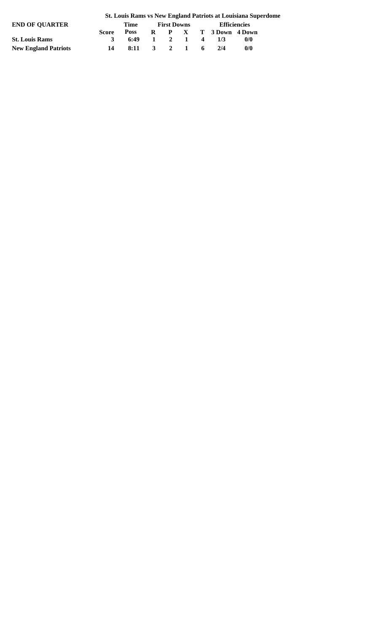| END OF OUARTER              |              | Time               | <b>First Downs</b> |  |                       | <b>Efficiencies</b> |  |
|-----------------------------|--------------|--------------------|--------------------|--|-----------------------|---------------------|--|
|                             | Score.       | <b>Poss</b>        |                    |  | R P X T 3 Down 4 Down |                     |  |
| <b>St. Louis Rams</b>       | $\mathbf{R}$ | $6:49$ 1 2 1 4 1/3 |                    |  |                       | 0/0                 |  |
| <b>New England Patriots</b> |              | 8:11 3 2 1 6       |                    |  | 2/4                   | 0/0                 |  |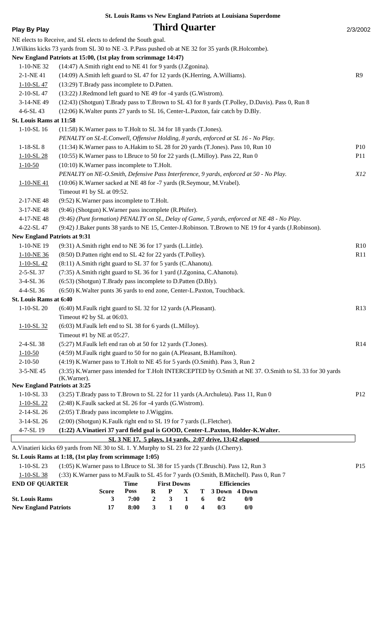| <b>Play By Play</b>                 |                                                                                                       |                                                          |                                  | <b>Third Quarter</b> |          |   |                     |  |                                                                                                         | 2/3/2002        |  |  |
|-------------------------------------|-------------------------------------------------------------------------------------------------------|----------------------------------------------------------|----------------------------------|----------------------|----------|---|---------------------|--|---------------------------------------------------------------------------------------------------------|-----------------|--|--|
|                                     | NE elects to Receive, and SL elects to defend the South goal.                                         |                                                          |                                  |                      |          |   |                     |  |                                                                                                         |                 |  |  |
|                                     | J. Wilkins kicks 73 yards from SL 30 to NE -3. P. Pass pushed ob at NE 32 for 35 yards (R. Holcombe). |                                                          |                                  |                      |          |   |                     |  |                                                                                                         |                 |  |  |
|                                     | New England Patriots at 15:00, (1st play from scrimmage 14:47)                                        |                                                          |                                  |                      |          |   |                     |  |                                                                                                         |                 |  |  |
| 1-10-NE 32                          | (14:47) A.Smith right end to NE 41 for 9 yards (J.Zgonina).                                           |                                                          |                                  |                      |          |   |                     |  |                                                                                                         |                 |  |  |
| 2-1-NE 41                           | (14:09) A.Smith left guard to SL 47 for 12 yards (K.Herring, A.Williams).                             |                                                          |                                  |                      |          |   |                     |  |                                                                                                         | R9              |  |  |
| $1 - 10 - SL47$                     | (13:29) T.Brady pass incomplete to D.Patten.                                                          |                                                          |                                  |                      |          |   |                     |  |                                                                                                         |                 |  |  |
| 2-10-SL 47                          | (13:22) J.Redmond left guard to NE 49 for -4 yards (G.Wistrom).                                       |                                                          |                                  |                      |          |   |                     |  |                                                                                                         |                 |  |  |
| 3-14-NE49                           |                                                                                                       |                                                          |                                  |                      |          |   |                     |  | (12:43) (Shotgun) T.Brady pass to T.Brown to SL 43 for 8 yards (T.Polley, D.Davis). Pass 0, Run 8       |                 |  |  |
| 4-6-SL 43                           | (12:06) K. Walter punts 27 yards to SL 16, Center-L. Paxton, fair catch by D. Bly.                    |                                                          |                                  |                      |          |   |                     |  |                                                                                                         |                 |  |  |
| St. Louis Rams at 11:58             |                                                                                                       |                                                          |                                  |                      |          |   |                     |  |                                                                                                         |                 |  |  |
| $1-10-SL$ 16                        | (11:58) K. Warner pass to T. Holt to SL 34 for 18 yards (T. Jones).                                   |                                                          |                                  |                      |          |   |                     |  |                                                                                                         |                 |  |  |
|                                     | PENALTY on SL-E.Conwell, Offensive Holding, 8 yards, enforced at SL 16 - No Play.                     |                                                          |                                  |                      |          |   |                     |  |                                                                                                         |                 |  |  |
| $1-18-SL8$                          | (11:34) K. Warner pass to A. Hakim to SL 28 for 20 yards (T. Jones). Pass 10, Run 10                  |                                                          |                                  |                      |          |   |                     |  |                                                                                                         | P10             |  |  |
| $1 - 10 - SL$ 28                    | (10:55) K. Warner pass to I. Bruce to 50 for 22 yards (L. Milloy). Pass 22, Run 0                     |                                                          |                                  |                      |          |   |                     |  |                                                                                                         | <b>P11</b>      |  |  |
| $1 - 10 - 50$                       | (10:10) K. Warner pass incomplete to T. Holt.                                                         |                                                          |                                  |                      |          |   |                     |  |                                                                                                         |                 |  |  |
|                                     | PENALTY on NE-O.Smith, Defensive Pass Interference, 9 yards, enforced at 50 - No Play.                |                                                          |                                  |                      |          |   |                     |  |                                                                                                         | <i>X12</i>      |  |  |
| $1 - 10 - NE 41$                    | (10:06) K. Warner sacked at NE 48 for -7 yards (R. Seymour, M. Vrabel).                               |                                                          |                                  |                      |          |   |                     |  |                                                                                                         |                 |  |  |
|                                     | Timeout #1 by SL at 09:52.                                                                            |                                                          |                                  |                      |          |   |                     |  |                                                                                                         |                 |  |  |
| 2-17-NE48                           | (9:52) K. Warner pass incomplete to T. Holt.                                                          |                                                          |                                  |                      |          |   |                     |  |                                                                                                         |                 |  |  |
| 3-17-NE48                           | (9:46) (Shotgun) K. Warner pass incomplete (R. Phifer).                                               |                                                          |                                  |                      |          |   |                     |  |                                                                                                         |                 |  |  |
| 4-17-NE48                           |                                                                                                       |                                                          |                                  |                      |          |   |                     |  | (9:46) (Punt formation) PENALTY on SL, Delay of Game, 5 yards, enforced at NE 48 - No Play.             |                 |  |  |
| 4-22-SL 47                          |                                                                                                       |                                                          |                                  |                      |          |   |                     |  | (9:42) J.Baker punts 38 yards to NE 15, Center-J.Robinson. T.Brown to NE 19 for 4 yards (J.Robinson).   |                 |  |  |
| <b>New England Patriots at 9:31</b> |                                                                                                       |                                                          |                                  |                      |          |   |                     |  |                                                                                                         |                 |  |  |
| 1-10-NE 19                          | (9:31) A.Smith right end to NE 36 for 17 yards (L.Little).                                            |                                                          |                                  |                      |          |   |                     |  |                                                                                                         | R10             |  |  |
| 1-10-NE 36                          | (8:50) D.Patten right end to SL 42 for 22 yards (T.Polley).                                           |                                                          |                                  |                      |          |   |                     |  |                                                                                                         | R11             |  |  |
| $1 - 10 - SL$ 42                    | (8:11) A.Smith right guard to SL 37 for 5 yards (C.Ahanotu).                                          |                                                          |                                  |                      |          |   |                     |  |                                                                                                         |                 |  |  |
| 2-5-SL 37                           | (7:35) A.Smith right guard to SL 36 for 1 yard (J.Zgonina, C.Ahanotu).                                |                                                          |                                  |                      |          |   |                     |  |                                                                                                         |                 |  |  |
| 3-4-SL 36                           | (6:53) (Shotgun) T.Brady pass incomplete to D.Patten (D.Bly).                                         |                                                          |                                  |                      |          |   |                     |  |                                                                                                         |                 |  |  |
| 4-4-SL 36                           | (6:50) K. Walter punts 36 yards to end zone, Center-L. Paxton, Touchback.                             |                                                          |                                  |                      |          |   |                     |  |                                                                                                         |                 |  |  |
| St. Louis Rams at 6:40              |                                                                                                       |                                                          |                                  |                      |          |   |                     |  |                                                                                                         |                 |  |  |
| $1-10-SL20$                         | (6:40) M.Faulk right guard to SL 32 for 12 yards (A.Pleasant).                                        |                                                          |                                  |                      |          |   |                     |  |                                                                                                         | R13             |  |  |
|                                     | Timeout #2 by SL at 06:03.                                                                            |                                                          |                                  |                      |          |   |                     |  |                                                                                                         |                 |  |  |
| $1 - 10 - SL$ 32                    | (6:03) M.Faulk left end to SL 38 for 6 yards (L.Milloy).                                              |                                                          |                                  |                      |          |   |                     |  |                                                                                                         |                 |  |  |
|                                     | Timeout #1 by NE at 05:27.                                                                            |                                                          |                                  |                      |          |   |                     |  |                                                                                                         |                 |  |  |
| 2-4-SL 38                           | (5:27) M.Faulk left end ran ob at 50 for 12 yards (T.Jones).                                          |                                                          |                                  |                      |          |   |                     |  |                                                                                                         | R14             |  |  |
| $1 - 10 - 50$                       | (4:59) M.Faulk right guard to 50 for no gain (A.Pleasant, B.Hamilton).                                |                                                          |                                  |                      |          |   |                     |  |                                                                                                         |                 |  |  |
| $2 - 10 - 50$                       | (4:19) K. Warner pass to T. Holt to NE 45 for 5 yards (O. Smith). Pass 3, Run 2                       |                                                          |                                  |                      |          |   |                     |  |                                                                                                         |                 |  |  |
| 3-5-NE 45                           | (K.Warner).                                                                                           |                                                          |                                  |                      |          |   |                     |  | (3:35) K.Warner pass intended for T.Holt INTERCEPTED by O.Smith at NE 37. O.Smith to SL 33 for 30 yards |                 |  |  |
| <b>New England Patriots at 3:25</b> |                                                                                                       |                                                          |                                  |                      |          |   |                     |  |                                                                                                         |                 |  |  |
| $1-10-SL$ 33                        | (3:25) T.Brady pass to T.Brown to SL 22 for 11 yards (A.Archuleta). Pass 11, Run 0                    |                                                          |                                  |                      |          |   |                     |  |                                                                                                         | P <sub>12</sub> |  |  |
| $1 - 10 - SL$ 22                    | (2:48) K.Faulk sacked at SL 26 for -4 yards (G.Wistrom).                                              |                                                          |                                  |                      |          |   |                     |  |                                                                                                         |                 |  |  |
| 2-14-SL 26                          | (2:05) T.Brady pass incomplete to J.Wiggins.                                                          |                                                          |                                  |                      |          |   |                     |  |                                                                                                         |                 |  |  |
| 3-14-SL 26                          | (2:00) (Shotgun) K.Faulk right end to SL 19 for 7 yards (L.Fletcher).                                 |                                                          |                                  |                      |          |   |                     |  |                                                                                                         |                 |  |  |
| 4-7-SL 19                           | (1:22) A.Vinatieri 37 yard field goal is GOOD, Center-L.Paxton, Holder-K.Walter.                      |                                                          |                                  |                      |          |   |                     |  |                                                                                                         |                 |  |  |
|                                     |                                                                                                       | SL 3 NE 17, 5 plays, 14 yards, 2:07 drive, 13:42 elapsed |                                  |                      |          |   |                     |  |                                                                                                         |                 |  |  |
|                                     | A. Vinatieri kicks 69 yards from NE 30 to SL 1. Y. Murphy to SL 23 for 22 yards (J. Cherry).          |                                                          |                                  |                      |          |   |                     |  |                                                                                                         |                 |  |  |
|                                     | St. Louis Rams at 1:18, (1st play from scrimmage 1:05)                                                |                                                          |                                  |                      |          |   |                     |  |                                                                                                         |                 |  |  |
| $1-10-SL23$                         | (1:05) K. Warner pass to I. Bruce to SL 38 for 15 yards (T. Bruschi). Pass 12, Run 3                  |                                                          |                                  |                      |          |   |                     |  |                                                                                                         | P15             |  |  |
| $1 - 10 - SL$ 38                    | (:33) K. Warner pass to M. Faulk to SL 45 for 7 yards (O. Smith, B. Mitchell). Pass 0, Run 7          |                                                          |                                  |                      |          |   |                     |  |                                                                                                         |                 |  |  |
| <b>END OF QUARTER</b>               |                                                                                                       | <b>Time</b>                                              |                                  | <b>First Downs</b>   |          |   | <b>Efficiencies</b> |  |                                                                                                         |                 |  |  |
|                                     | <b>Score</b>                                                                                          | <b>Poss</b>                                              | $\bf R$                          | $\mathbf P$          | X        | т | 3 Down              |  | 4 Down                                                                                                  |                 |  |  |
| <b>St. Louis Rams</b>               | 3                                                                                                     | 7:00                                                     | $\boldsymbol{2}$<br>$\mathbf{3}$ | 3                    | 1        | 6 | 0/2                 |  | 0/0                                                                                                     |                 |  |  |
| <b>New England Patriots</b>         | 17                                                                                                    | 8:00                                                     |                                  | 1                    | $\bf{0}$ | 4 | 0/3                 |  | 0/0                                                                                                     |                 |  |  |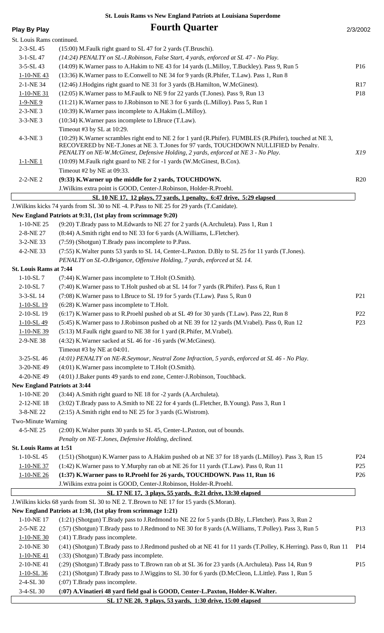| <b>Play By Play</b>                 | <b>Fourth Quarter</b>                                                                                                                                                                                                                                                                      | 2/3/2002        |
|-------------------------------------|--------------------------------------------------------------------------------------------------------------------------------------------------------------------------------------------------------------------------------------------------------------------------------------------|-----------------|
| St. Louis Rams continued.           |                                                                                                                                                                                                                                                                                            |                 |
| $2 - 3 - SL$ 45                     | (15:00) M.Faulk right guard to SL 47 for 2 yards (T.Bruschi).                                                                                                                                                                                                                              |                 |
| $3-1-SL$ 47                         | (14:24) PENALTY on SL-J.Robinson, False Start, 4 yards, enforced at SL 47 - No Play.                                                                                                                                                                                                       |                 |
| $3 - 5 - SL$ 43                     | (14:09) K. Warner pass to A. Hakim to NE 43 for 14 yards (L. Milloy, T. Buckley). Pass 9, Run 5                                                                                                                                                                                            | P16             |
| $1-10-NE$ 43                        | (13:36) K. Warner pass to E. Conwell to NE 34 for 9 yards (R. Phifer, T. Law). Pass 1, Run 8                                                                                                                                                                                               |                 |
| 2-1-NE 34                           | (12:46) J.Hodgins right guard to NE 31 for 3 yards (B.Hamilton, W.McGinest).                                                                                                                                                                                                               | R17             |
| 1-10-NE 31                          | (12:05) K. Warner pass to M. Faulk to NE 9 for 22 yards (T. Jones). Pass 9, Run 13                                                                                                                                                                                                         | P18             |
| $1-9-NE9$                           | (11:21) K. Warner pass to J. Robinson to NE 3 for 6 yards (L. Milloy). Pass 5, Run 1                                                                                                                                                                                                       |                 |
| $2-3-NE$ 3                          | (10:39) K. Warner pass incomplete to A. Hakim (L. Milloy).                                                                                                                                                                                                                                 |                 |
| $3 - 3 - NE$ 3                      | (10:34) K. Warner pass incomplete to I. Bruce (T. Law).                                                                                                                                                                                                                                    |                 |
|                                     | Timeout #3 by SL at 10:29.                                                                                                                                                                                                                                                                 |                 |
| 4-3-NE 3                            | (10:29) K. Warner scrambles right end to NE 2 for 1 yard (R. Phifer). FUMBLES (R. Phifer), touched at NE 3,<br>RECOVERED by NE-T.Jones at NE 3. T.Jones for 97 yards, TOUCHDOWN NULLIFIED by Penalty.<br>PENALTY on NE-W.McGinest, Defensive Holding, 2 yards, enforced at NE 3 - No Play. | X19             |
| $1 - 1 - NE_1$                      | (10:09) M.Faulk right guard to NE 2 for -1 yards (W.McGinest, B.Cox).                                                                                                                                                                                                                      |                 |
|                                     | Timeout #2 by NE at 09:33.                                                                                                                                                                                                                                                                 |                 |
| $2 - 2 - NE$ 2                      | (9:33) K. Warner up the middle for 2 yards, TOUCHDOWN.                                                                                                                                                                                                                                     | R20             |
|                                     | J. Wilkins extra point is GOOD, Center-J. Robinson, Holder-R. Proehl.                                                                                                                                                                                                                      |                 |
|                                     | SL 10 NE 17, 12 plays, 77 yards, 1 penalty, 6:47 drive, 5:29 elapsed                                                                                                                                                                                                                       |                 |
|                                     | J. Wilkins kicks 74 yards from SL 30 to NE -4. P. Pass to NE 25 for 29 yards (T. Canidate).                                                                                                                                                                                                |                 |
|                                     | New England Patriots at 9:31, (1st play from scrimmage 9:20)                                                                                                                                                                                                                               |                 |
| 1-10-NE 25                          | (9:20) T.Brady pass to M.Edwards to NE 27 for 2 yards (A.Archuleta). Pass 1, Run 1                                                                                                                                                                                                         |                 |
| 2-8-NE 27                           | (8:44) A.Smith right end to NE 33 for 6 yards (A.Williams, L.Fletcher).                                                                                                                                                                                                                    |                 |
| 3-2-NE 33                           | (7:59) (Shotgun) T.Brady pass incomplete to P.Pass.                                                                                                                                                                                                                                        |                 |
| 4-2-NE 33                           | (7:55) K. Walter punts 53 yards to SL 14, Center-L. Paxton. D. Bly to SL 25 for 11 yards (T. Jones).                                                                                                                                                                                       |                 |
|                                     | PENALTY on SL-O.Brigance, Offensive Holding, 7 yards, enforced at SL 14.                                                                                                                                                                                                                   |                 |
| St. Louis Rams at 7:44              |                                                                                                                                                                                                                                                                                            |                 |
| $1-10-SL$ 7                         | (7:44) K. Warner pass incomplete to T. Holt (O. Smith).                                                                                                                                                                                                                                    |                 |
| 2-10-SL7                            | (7:40) K. Warner pass to T. Holt pushed ob at SL 14 for 7 yards (R. Phifer). Pass 6, Run 1                                                                                                                                                                                                 |                 |
| 3-3-SL 14                           | (7:08) K. Warner pass to I. Bruce to SL 19 for 5 yards (T. Law). Pass 5, Run 0                                                                                                                                                                                                             | P <sub>21</sub> |
| $1 - 10 - SL$ 19                    | (6:28) K. Warner pass incomplete to T. Holt.                                                                                                                                                                                                                                               |                 |
| 2-10-SL 19                          | (6:17) K. Warner pass to R. Proehl pushed ob at SL 49 for 30 yards (T. Law). Pass 22, Run 8                                                                                                                                                                                                | P <sub>22</sub> |
| 1-10-SL 49                          | (5:45) K. Warner pass to J. Robinson pushed ob at NE 39 for 12 yards (M. Vrabel). Pass 0, Run 12                                                                                                                                                                                           | P <sub>23</sub> |
| 1-10-NE 39                          | (5:13) M.Faulk right guard to NE 38 for 1 yard (R.Phifer, M.Vrabel).                                                                                                                                                                                                                       |                 |
| 2-9-NE 38                           | (4:32) K. Warner sacked at SL 46 for -16 yards (W. McGinest).                                                                                                                                                                                                                              |                 |
| 3-25-SL 46                          | Timeout #3 by NE at 04:01.<br>(4:01) PENALTY on NE-R.Seymour, Neutral Zone Infraction, 5 yards, enforced at SL 46 - No Play.                                                                                                                                                               |                 |
| 3-20-NE 49                          | (4:01) K. Warner pass incomplete to T. Holt (O. Smith).                                                                                                                                                                                                                                    |                 |
| 4-20-NE49                           | (4:01) J.Baker punts 49 yards to end zone, Center-J.Robinson, Touchback.                                                                                                                                                                                                                   |                 |
| <b>New England Patriots at 3:44</b> |                                                                                                                                                                                                                                                                                            |                 |
| 1-10-NE 20                          | (3:44) A.Smith right guard to NE 18 for -2 yards (A.Archuleta).                                                                                                                                                                                                                            |                 |
| 2-12-NE 18                          | (3:02) T.Brady pass to A.Smith to NE 22 for 4 yards (L.Fletcher, B.Young). Pass 3, Run 1                                                                                                                                                                                                   |                 |
| 3-8-NE 22                           | (2:15) A.Smith right end to NE 25 for 3 yards (G.Wistrom).                                                                                                                                                                                                                                 |                 |
| Two-Minute Warning                  |                                                                                                                                                                                                                                                                                            |                 |
| 4-5-NE 25                           | (2:00) K. Walter punts 30 yards to SL 45, Center-L. Paxton, out of bounds.                                                                                                                                                                                                                 |                 |
|                                     | Penalty on NE-T.Jones, Defensive Holding, declined.                                                                                                                                                                                                                                        |                 |
| St. Louis Rams at 1:51              |                                                                                                                                                                                                                                                                                            |                 |
| $1-10-SL$ 45                        | (1:51) (Shotgun) K. Warner pass to A. Hakim pushed ob at NE 37 for 18 yards (L. Milloy). Pass 3, Run 15                                                                                                                                                                                    | P <sub>24</sub> |
| 1-10-NE 37                          | (1:42) K. Warner pass to Y. Murphy ran ob at NE 26 for 11 yards (T. Law). Pass 0, Run 11                                                                                                                                                                                                   | P <sub>25</sub> |
| 1-10-NE 26                          | (1:37) K. Warner pass to R. Proehl for 26 yards, TOUCHDOWN. Pass 11, Run 16                                                                                                                                                                                                                | P <sub>26</sub> |
|                                     | J. Wilkins extra point is GOOD, Center-J. Robinson, Holder-R. Proehl.                                                                                                                                                                                                                      |                 |
|                                     | SL 17 NE 17, 3 plays, 55 yards, 0:21 drive, 13:30 elapsed                                                                                                                                                                                                                                  |                 |
|                                     | J. Wilkins kicks 68 yards from SL 30 to NE 2. T. Brown to NE 17 for 15 yards (S. Moran).                                                                                                                                                                                                   |                 |
|                                     | New England Patriots at 1:30, (1st play from scrimmage 1:21)                                                                                                                                                                                                                               |                 |
| 1-10-NE 17                          | (1:21) (Shotgun) T.Brady pass to J.Redmond to NE 22 for 5 yards (D.Bly, L.Fletcher). Pass 3, Run 2                                                                                                                                                                                         |                 |
| 2-5-NE 22                           | (:57) (Shotgun) T.Brady pass to J.Redmond to NE 30 for 8 yards (A.Williams, T.Polley). Pass 3, Run 5                                                                                                                                                                                       | P <sub>13</sub> |
| 1-10-NE 30                          | (:41) T.Brady pass incomplete.                                                                                                                                                                                                                                                             |                 |
| 2-10-NE 30                          | (:41) (Shotgun) T.Brady pass to J.Redmond pushed ob at NE 41 for 11 yards (T.Polley, K.Herring). Pass 0, Run 11                                                                                                                                                                            | P <sub>14</sub> |
| 1-10-NE41                           | (:33) (Shotgun) T.Brady pass incomplete.                                                                                                                                                                                                                                                   |                 |
| 2-10-NE 41                          | (:29) (Shotgun) T.Brady pass to T.Brown ran ob at SL 36 for 23 yards (A.Archuleta). Pass 14, Run 9                                                                                                                                                                                         | P15             |
| $1 - 10 - SL$ 36                    | (:21) (Shotgun) T.Brady pass to J.Wiggins to SL 30 for 6 yards (D.McCleon, L.Little). Pass 1, Run 5                                                                                                                                                                                        |                 |
| 2-4-SL 30                           | $(0.07)$ T. Brady pass incomplete.                                                                                                                                                                                                                                                         |                 |
| 3-4-SL 30                           | (:07) A.Vinatieri 48 yard field goal is GOOD, Center-L.Paxton, Holder-K.Walter.                                                                                                                                                                                                            |                 |
|                                     | SL 17 NE 20, 9 plays, 53 yards, 1:30 drive, 15:00 elapsed                                                                                                                                                                                                                                  |                 |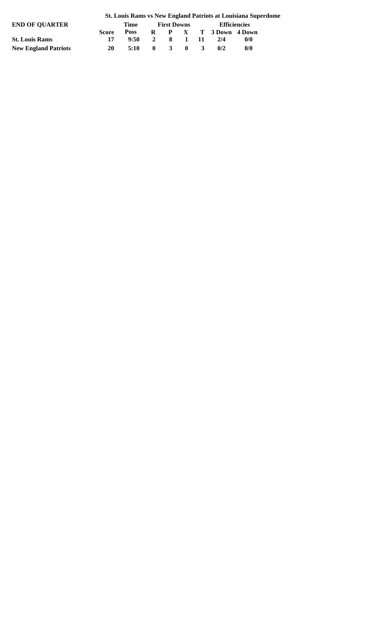|                             |              | ou Louis Kans 1943c# Linguing I autois at Louisiana Supers |                |                         |              |              |                     |                         |  |  |  |  |  |  |
|-----------------------------|--------------|------------------------------------------------------------|----------------|-------------------------|--------------|--------------|---------------------|-------------------------|--|--|--|--|--|--|
| <b>END OF OUARTER</b>       |              | Time                                                       |                | <b>First Downs</b>      |              | Efficiencies |                     |                         |  |  |  |  |  |  |
|                             | <b>Score</b> | <b>Poss</b>                                                |                |                         |              |              | R P X T 3Down 4Down |                         |  |  |  |  |  |  |
| <b>St. Louis Rams</b>       |              | 9:50                                                       | $\overline{2}$ |                         | 8 1 11       |              | 2/4                 | $\mathbf{0}/\mathbf{0}$ |  |  |  |  |  |  |
| <b>New England Patriots</b> | 20           | 5:10                                                       | $\mathbf{0}$   | $\overline{\mathbf{3}}$ | $\mathbf{0}$ | $\mathbf{3}$ | 0/2                 | 0/0                     |  |  |  |  |  |  |